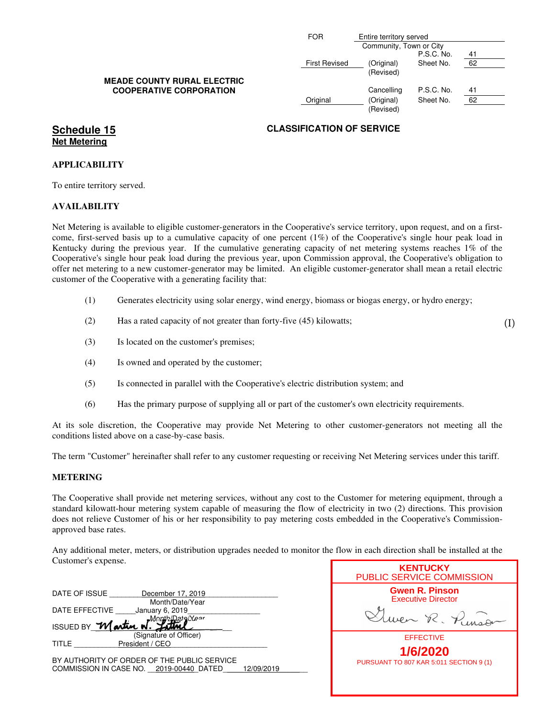|                                    | <b>FOR</b>           | Entire territory served<br>Community, Town or City |            |    |
|------------------------------------|----------------------|----------------------------------------------------|------------|----|
|                                    |                      |                                                    | P.S.C. No. | 41 |
| <b>MEADE COUNTY RURAL ELECTRIC</b> | <b>First Revised</b> | (Original)<br>(Revised)                            | Sheet No.  | 62 |
| <b>COOPERATIVE CORPORATION</b>     |                      | Cancelling                                         | P.S.C. No. | 41 |
|                                    | Original             | (Original)<br>(Revised)                            | Sheet No.  | 62 |

# **Net Metering**

#### **APPLICABILITY**

To entire territory served.

#### **AVAILABILITY**

Net Metering is available to eligible customer-generators in the Cooperative's service territory, upon request, and on a firstcome, first-served basis up to a cumulative capacity of one percent (1%) of the Cooperative's single hour peak load in Kentucky during the previous year. If the cumulative generating capacity of net metering systems reaches 1% of the Cooperative's single hour peak load during the previous year, upon Commission approval, the Cooperative's obligation to offer net metering to a new customer-generator may be limited. An eligible customer-generator shall mean a retail electric customer of the Cooperative with a generating facility that:

- (1) Generates electricity using solar energy, wind energy, biomass or biogas energy, or hydro energy;
- (2) Has a rated capacity of not greater than forty-five (45) kilowatts;
- (3) Is located on the customer's premises;
- (4) Is owned and operated by the customer;
- (5) Is connected in parallel with the Cooperative's electric distribution system; and
- (6) Has the primary purpose of supplying all or part of the customer's own electricity requirements.

At its sole discretion, the Cooperative may provide Net Metering to other customer-generators not meeting all the conditions listed above on a case-by-case basis.

The term "Customer" hereinafter shall refer to any customer requesting or receiving Net Metering services under this tariff.

#### **METERING**

The Cooperative shall provide net metering services, without any cost to the Customer for metering equipment, through a standard kilowatt-hour metering system capable of measuring the flow of electricity in two (2) directions. This provision does not relieve Customer of his or her responsibility to pay metering costs embedded in the Cooperative's Commissionapproved base rates.

Any additional meter, meters, or distribution upgrades needed to monitor the flow in each direction shall be installed at the Customer's expense.

| DATE OF ISSUE       | December 17, 2019      |  |
|---------------------|------------------------|--|
|                     | Month/Date/Year        |  |
| DATE EFFECTIVE      | January 6, 2019        |  |
|                     | nth/Data <i>l</i> Ve≏r |  |
| ISSUED BY Martin W. |                        |  |
|                     | (Signature of Officer) |  |
| TITLE               | President / CEO        |  |
|                     |                        |  |

BY AUTHORITY OF ORDER OF THE PUBLIC SERVICE COMMISSION IN CASE NO. \_ 2019-00440\_DATED \_\_\_\_12/09/2019

| <b>KENTUCKY</b><br><b>PUBLIC SERVICE COMMISSION</b> |
|-----------------------------------------------------|
| <b>Gwen R. Pinson</b><br><b>Executive Director</b>  |
| en R. Pinse                                         |
| <b>EFFECTIVE</b>                                    |
| 1/6/2020                                            |
| PURSUANT TO 807 KAR 5:011 SECTION 9 (1)             |
|                                                     |
|                                                     |

(I)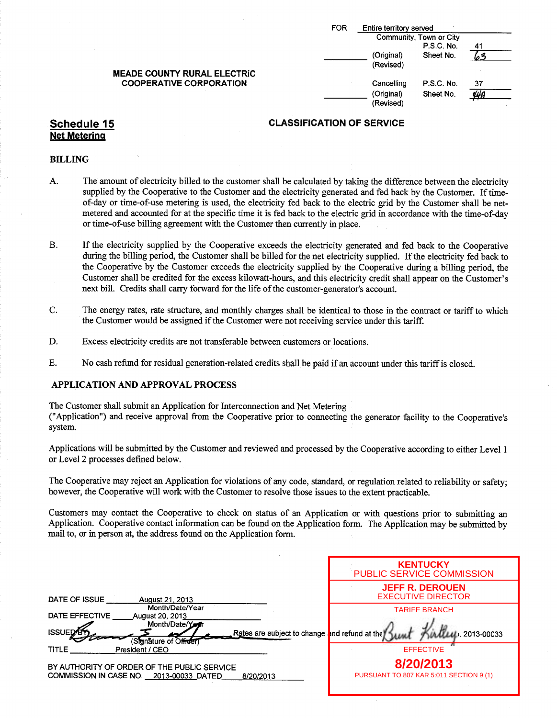|                                    | <b>FOR</b> | Entire territory served<br>Community, Town or City |            |    |  |
|------------------------------------|------------|----------------------------------------------------|------------|----|--|
|                                    |            |                                                    |            |    |  |
|                                    |            |                                                    | P.S.C. No. | 41 |  |
|                                    |            | (Original)                                         | Sheet No.  |    |  |
|                                    |            | (Revised)                                          |            |    |  |
| <b>MEADE COUNTY RURAL ELECTRIC</b> |            |                                                    |            |    |  |
| <b>COOPERATIVE CORPORATION</b>     |            | Cancelling                                         | P.S.C. No. | 37 |  |
|                                    |            | (Original)<br>(Revised)                            | Sheet No.  | ÝЙ |  |

## Net Metering

#### BILLING

- A. The amount of electricity billed to the customer shall be calculated by taking the difference between the electricity supplied by the Cooperative to the Customer and the electricity generated and fed back by the Customer. If timeof-day or time-of-use metering is used, the electricity fed back to the electric grid by the Customer shall be netmetered and accounted for at the specific time it is fed back to the electric grid in accordance with the time-of-day or time-of-use billing agreement with the Customer then currently in place.
- B. If the electricity supplied by the Cooperative exceeds the electricity generated and fed back to the Cooperative during the billing period, the Customer shall be billed for the net electricity supplied. If the electricity fed back to the Cooperative by the Customer exceeds the electricity supplied by the Cooperative during a billing period, the Customer shall be credited for the excess kilowatt-hours, and this electricity credit shall appear on the Customer's next bill. Credits shall carry forward for the life of the customer-generator's account.
- C. The energy rates, rate structure, and monthly charges shall be identical to those in the contract or tariff to which the Customer would be assigned if the Customer were not receiving service under this tariff.
- D. Excess electricity credits are not transferable between customers or locations.
- E. No cash refund for residual generation-related credits shall be paid if an account under this tariff is closed.

#### APPLICATION AND APPROVAL PROCESS

The Customer shall submit an Application for Interconnection and Net Metering

Application") and receive approval from the Cooperative prior to connecting the generator facility to the Cooperative' <sup>s</sup> system.

Applications will be submitted by the Customer and reviewed and processed by the Cooperative according to either Level <sup>1</sup> or Level 2 processes defined below.

The Cooperative may reject an Application for violations of any code, standard, or regulation related to reliability or safety; however, the Cooperative will work with the Customer to resolve those issues to the extent practicable.

Customers may contact the Cooperative to check on status of an Application or with questions prior to submitting an Application. Cooperative contact information can be found on the Application form. The Application may be submitted by mail to, or in person at, the address found on the Application form.

|                                                                                                                             | <b>KENTUCKY</b><br><b>PUBLIC SERVICE COMMISSION</b> |
|-----------------------------------------------------------------------------------------------------------------------------|-----------------------------------------------------|
| DATE OF ISSUE<br>August 21, 2013                                                                                            | <b>JEFF R. DEROUEN</b><br><b>EXECUTIVE DIRECTOR</b> |
| Month/Date/Year<br>DATE EFFECTIVE<br>August 20, 2013<br>Month/Date/Yerr                                                     | <b>TARIFF BRANCH</b>                                |
| <b>ISSUED</b><br>Rates are subject to change and refund at the<br>(Signature of Officer)<br><b>TITLE</b><br>President / CEO | LLL 2013-00033<br><b>EFFECTIVE</b>                  |
| BY AUTHORITY OF ORDER OF THE PUBLIC SERVICE                                                                                 | 8/20/2013                                           |
| COMMISSION IN CASE NO. 2013-00033 DATED<br>8/20/2013                                                                        | PURSUANT TO 807 KAR 5:011 SECTION 9 (1)             |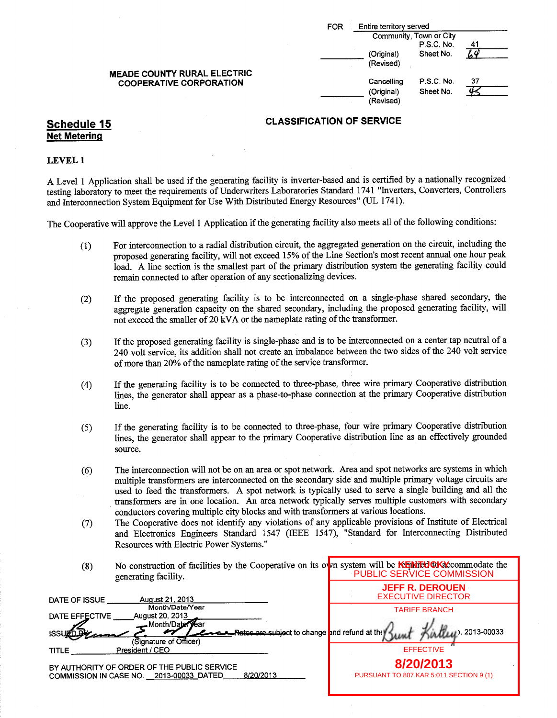|                                                                      | Entire territory served<br>FOR              |                                |    |
|----------------------------------------------------------------------|---------------------------------------------|--------------------------------|----|
|                                                                      | Community, Town or City<br>P.S.C. No.<br>41 |                                |    |
|                                                                      | (Original)<br>(Revised)                     | Sheet No.                      |    |
| <b>MEADE COUNTY RURAL ELECTRIC</b><br><b>COOPERATIVE CORPORATION</b> | Cancelling<br>(Original)<br>(Revised)       | <b>P.S.C. No.</b><br>Sheet No. | 37 |

# Net Metering

#### LEVEL <sup>1</sup>

A Level <sup>1</sup> Application shall be used if the generating facility is inverter-based and is certified by <sup>a</sup> nationally recognized testing laboratory to meet the requirements of Underwriters Laboratories Standard 1741 " Inverters, Converters, Controllers and Interconnection System Equipment for Use With Distributed Energy Resources"( UL 1741).

The Cooperative will approve the Level 1 Application if the generating facility also meets all of the following conditions:

- 1) For interconnection to a radial distribution circuit, the aggregated generation on the circuit, including the proposed generating facility, will not exceed 15% of the Line Section's most recent annual one hour peak load. A line section is the smallest part of the primary distribution system the generating facility could remain connected to after operation of any sectionalizing devices.
- 2) If the proposed generating facility is to be interconnected on <sup>a</sup> single-phase shared secondary, the aggregate generation capacity on the shared secondary, including the proposed generating facility, will not exceed the smaller of 20 kVA or the nameplate rating of the transformer.
- 3) If the proposed generating facility is single-phase and is to be interconnected on <sup>a</sup> center tap neutral of <sup>a</sup> 240 volt service, its addition shall not create an imbalance between the two sides of the 240 volt service of more than 20% of the nameplate rating of the service transformer.
- 4) If the generating facility is to be connected to three-phase, three wire primary Cooperative distribution lines, the generator shall appear as a phase-to-phase connection at the primary Cooperative distribution line.
- 5) If the generating facility is to be connected to three-phase, four wire primary Cooperative distribution lines, the generator shall appear to the primary Cooperative distribution line as an effectively grounded source.
- 6) The interconnection will not be on an area or spot network. Area and spot networks are systems in which multiple transformers are interconnected on the secondary side and multiple primary voltage circuits are used to feed the transformers. A spot network is typically used to serve a single building and all the transformers are in one location. An area network typically serves multiple customers with secondary conductors covering multiple city blocks and with transformers at various locations.
- 7) The Cooperative does not identify any violations of any applicable provisions of Institute of Electrical and Electronics Engineers Standard 1547 (IEEE 1547), "Standard for Interconnecting Distributed Resources with Electric Power Systems."
- 8) No construction of facilities by the Cooperative on its own system will be **RENTUCK** Commodate the generating facility. PUBLIC SERVICE COMMISSION

| August 21, 2013<br>DATE OF ISSUE                                                                    | <b>JEFF R. DEROUEN</b><br><b>EXECUTIVE DIRECTOR</b>  |
|-----------------------------------------------------------------------------------------------------|------------------------------------------------------|
| Month/Date/Year<br>August 20, 2013<br>DATE EFFECTIVE<br>Month/Date<br>ryear                         | <b>TARIFF BRANCH</b>                                 |
| Refector subject to change and refund at the<br>(Signature of Officer)<br>President / CEO<br>TITLE  | Called 2013-00033<br><b>EFFECTIVE</b>                |
| BY AUTHORITY OF ORDER OF THE PUBLIC SERVICE<br>8/20/2013<br>COMMISSION IN CASE NO. 2013-00033 DATED | 8/20/2013<br>PURSUANT TO 807 KAR 5:011 SECTION 9 (1) |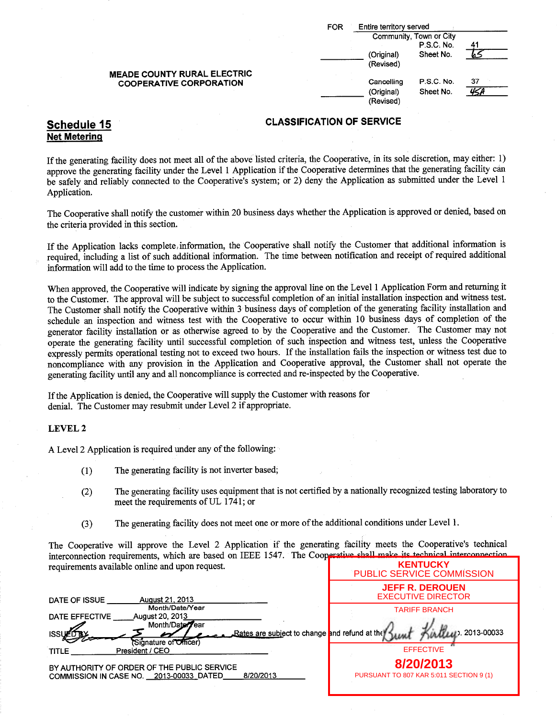|                                                                      | Entire territory served<br><b>FOR</b><br>Community, Town or City |                                       |                         |    |
|----------------------------------------------------------------------|------------------------------------------------------------------|---------------------------------------|-------------------------|----|
|                                                                      |                                                                  |                                       | P.S.C. No.<br>Sheet No. |    |
|                                                                      |                                                                  | (Original)<br>(Revised)               |                         |    |
| <b>MEADE COUNTY RURAL ELECTRIC</b><br><b>COOPERATIVE CORPORATION</b> |                                                                  | Cancelling<br>(Original)<br>(Revised) | P.S.C. No.<br>Sheet No. | 37 |

# Net Metering

If the generating facility does not meet all of the above listed criteria, the Cooperative, in its sole discretion, may either: 1) approve the generating facility under the Level 1 Application if the Cooperative determines that the generating facility can be safely and reliably connected to the Cooperative's system; or 2) deny the Application as submitted under the Level 1 Application.

The Cooperative shall notify the customer within 20 business days whether the Application is approved or denied, based on the criteria provided in this section.

If the Application lacks complete, information, the Cooperative shall notify the Customer that additional information is required, including a list of such additional information. The time between notification and receipt of required additional information will add to the time to process the Application.

When approved, the Cooperative will indicate by signing the approval line on the Level <sup>1</sup> Application Form and returning it to the Customer. The approval will be subject to successful completion of an initial installation inspection and witness test. The Customer shall notify the Cooperative within <sup>3</sup> business days of completion of the generating facility installation and schedule an inspection and witness test with the Cooperative to occur within 10 business days of completion of the generator facility installation or as otherwise agreed to by the Cooperative and the Customer. The Customer may not operate the generating facility until successful completion of such inspection and witness test, unless the Cooperative expressly permits operational testing not to exceed two hours. If the installation fails the inspection or witness test due to noncompliance with any provision in the Application and Cooperative approval, the Customer shall not operate the generating facility until any and all noncompliance is corrected and re-inspected by the Cooperative.

Ifthe Application is denied, the Cooperative will supply the Customer with reasons for denial. The Customer may resubmit under Level <sup>2</sup> if appropriate.

#### LEVEL 2

A Level 2 Application is required under any of the following:

- 1) The generating facility is not inverter based;
- 2) The generating facility uses equipment that is not certified by a nationally recognized testing laboratory to meet the requirements of UL 1741; or
- 3) The generating facility does not meet one or more ofthe additional conditions under Level 1.

The Cooperative will approve the Level <sup>2</sup> Application if the generating facility meets the Cooperative's technical interconnection requirements, which are based on IEEE 1547. The Cooperative shall make its technical interconnection requirements available online and upon request. **KENTUCKY**

|                                                                                                             | <b>PUBLIC SERVICE COMMISSION</b>                     |
|-------------------------------------------------------------------------------------------------------------|------------------------------------------------------|
| August 21, 2013<br>DATE OF ISSUE                                                                            | <b>JEFF R. DEROUEN</b><br><b>EXECUTIVE DIRECTOR</b>  |
| Month/Date/Year<br>DATE EFFECTIVE<br>August 20, 2013                                                        | <b>TARIFF BRANCH</b>                                 |
| Month/Date/Year<br>Rates are subject to change and refund at the<br><b>ISSUEI</b><br>(Signature of Officer) | ALLUI 2013-00033                                     |
| President / CEO<br><b>TITLE</b>                                                                             | <b>EFFECTIVE</b>                                     |
| BY AUTHORITY OF ORDER OF THE PUBLIC SERVICE<br>8/20/2013<br>COMMISSION IN CASE NO. 2013-00033 DATED         | 8/20/2013<br>PURSUANT TO 807 KAR 5:011 SECTION 9 (1) |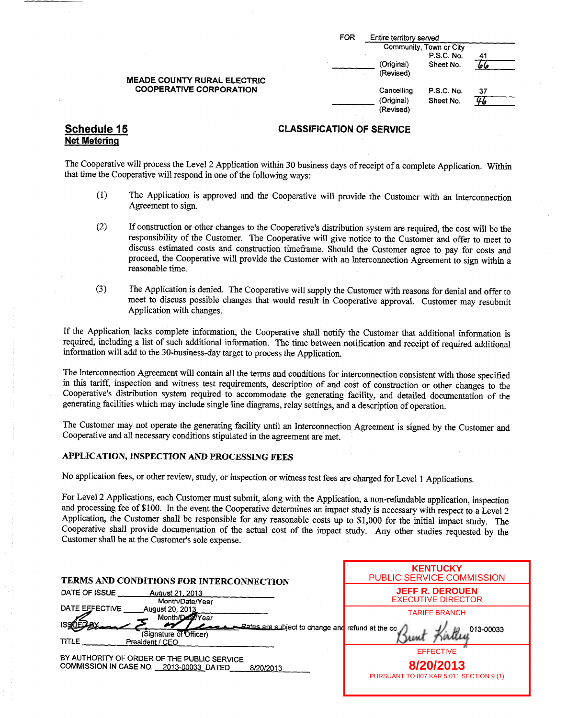| FOR | Entire territory served  |                                       |    |
|-----|--------------------------|---------------------------------------|----|
|     |                          | Community, Town or City<br>P.S.C. No. |    |
|     | (Original)<br>(Revised)  | Sheet No.                             |    |
|     | Cancelling<br>(Original) | P.S.C. No.<br>Sheet No.               | 37 |
|     | (Revised)                |                                       |    |

### Schedule 15 CLASSIFICATION OF SERVICE

The Cooperative will process the Level 2 Application within 30 business days ofreceipt of <sup>a</sup> complete Application. Within that time the Cooperative will respond in one of the following ways:

- 1) The Application is approved and the Cooperative will provide the Customer with an Interconnection Agreement to sign.
- 2) If construction or other changes to the Cooperative's distribution system are required, the cost will be the responsibility of the Customer. The Cooperative will give notice to the Customer and offer to meet to discuss estimated costs and construction timeframe. Should the Customer agree to pay for costs and proceed, the Cooperative will provide the Customer with an Interconnection Agreement to sign within a reasonable time.
- 3) The Application is denied. The Cooperative will supply the Customer with reasons for denial and offer to meet to discuss possible changes that would result in Cooperative approval. Customer may resubmit Application with changes.

If the Application lacks complete information, the Cooperative shall notify the Customer that additional information is required, including a list of such additional information. The time between notification and receipt of required additional information will add to the 30-business- day target to process the Application.

The Interconnection Agreement will contain all the terms and conditions for interconnection consistent with those specified in this tariff, inspection and witness test requirements, description of and cost of construction or other changes to the Cooperative's distribution system required to accommodate the generating facility, and detailed documentation of the generating facilities which may include single line diagrams, relay settings, and a description of operation.

The Customer may not operate the generating facility until an Interconnection Agreement is signed by the Customer and Cooperative and all necessary conditions stipulated in the agreement are met.

#### APPLICATION, INSPECTION AND PROCESSING FEES

No application fees, or other review, study, or inspection or witness test fees are charged for Level <sup>1</sup> Applications.

For Level 2 Applications, each Customer must submit, along with the Application, a non-refundable application, inspection and processing fee of \$100. In the event the Cooperative determines an impact study is necessary with respect to a Level 2 Application, the Customer shall be responsible for any reasonable costs up to \$1,000 for the initial impact study. The Cooperative shall provide documentation of the actual cost of the impact study. Any other studies requested by the Customer shall be at the Customer's sole expense.

| TERMS AND CONDITIONS FOR INTERCONNECTION                                                                                                                                            | <b>KENTUCKY</b><br>PUBLIC SERVICE COMMISSION                             |
|-------------------------------------------------------------------------------------------------------------------------------------------------------------------------------------|--------------------------------------------------------------------------|
| DATE OF ISSUE<br>August 21, 2013<br>Month/Date/Year                                                                                                                                 | <b>JEFF R. DEROUEN</b><br><b>EXECUTIVE DIRECTOR</b>                      |
| DATE EFFECTIVE<br><b>August 20, 2013</b><br>Month/Date/Year<br><b>Bates are subject to change and refund at the co</b><br>(Signature of Officer)<br><b>TITLE</b><br>President / CEO | <b>TARIFF BRANCH</b><br>013-00033                                        |
| BY AUTHORITY OF ORDER OF THE PUBLIC SERVICE<br>COMMISSION IN CASE NO. 2013-00033 DATED<br>8/20/2013                                                                                 | <b>EFFECTIVE</b><br>8/20/2013<br>PURSUANT TO 807 KAR 5:011 SECTION 9 (1) |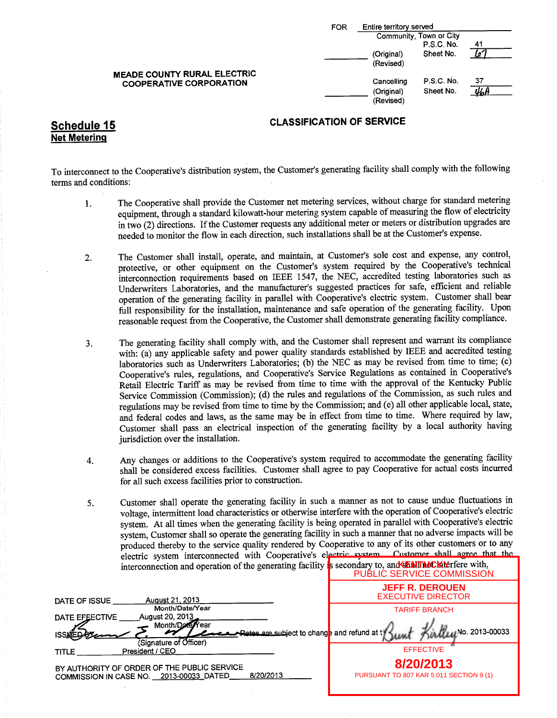| FOR | Entire territory served<br>Community, Town or City |            |    |
|-----|----------------------------------------------------|------------|----|
|     |                                                    |            |    |
|     |                                                    | P.S.C. No. | 41 |
|     | (Original)                                         | Sheet No.  |    |
|     | (Revised)                                          |            |    |
|     | Cancelling                                         | P.S.C. No. | 37 |
|     | (Original)                                         | Sheet No.  |    |
|     | (Revised)                                          |            |    |

Net Metering

### Schedule 15 CLASSIFICATION OF SERVICE

To interconnect to the Cooperative's distribution system, the Customer's generating facility shall comply with the following terms and conditions:

- 1. The Cooperative shall provide the Customer net metering services, without charge for standard metering equipment, through <sup>a</sup> standard kilowatt-hour metering system capable of measuring the flow of electricity in two (2) directions. If the Customer requests any additional meter or meters or distribution upgrades are needed to monitor the flow in each direction, such installations shall be at the Customer's expense.
- 2. The Customer shall install, operate, and maintain, at Customer's sole cost and expense, any control, protective, or other equipment on the Customer's system required by the Cooperative's technical interconnection requirements based on IEEE 1547, the NEC, accredited testing laboratories such as Underwriters Laboratories, and the manufacturer's suggested practices for safe, efficient and reliable operation of the generating facility in parallel with Cooperative'<sup>s</sup> electric system. Customer shall bear full responsibility for the installation, maintenance and safe operation of the generating facility. Upon reasonable request from the Cooperative, the Customer shall demonstrate generating facility compliance.
- 3. The generating facility shall comply with, and the Customer shall represent and warrant its compliance with: (a) any applicable safety and power quality standards established by IEEE and accredited testing laboratories such as Underwriters Laboratories; (b) the NEC as may be revised from time to time; (c) Cooperative's rules, regulations, and Cooperative's Service Regulations as contained in Cooperative's Retail Electric Tariff as may be revised from time to time with the approval of the Kentucky Public Service Commission (Commission); (d) the rules and regulations of the Commission, as such rules and regulations may be revised from time to time by the Commission; and( e) all other applicable local, state, and federal codes and laws, as the same may be in effect from time to time. Where required by law, Customer shall pass an electrical inspection of the generating facility by a local authority having jurisdiction over the installation.
- 4. Any changes or additions to the Cooperative's system required to accommodate the generating facility shall be considered excess facilities. Customer shall agree to pay Cooperative for actual costs incurred for all such excess facilities prior to construction.
- 5. Customer shall operate the generating facility in such <sup>a</sup> manner as not to cause undue fluctuations in voltage, intermittent load characteristics or otherwise interfere with the operation of Cooperative's electric system. At all times when the generating facility is being operated in parallel with Cooperative's electric system, Customer shall so operate the generating facility in such <sup>a</sup> manner that no adverse impacts will be produced thereby to the service quality rendered by Cooperative to any of its other customers or to any electric system interconnected with Cooperative'<sup>s</sup> electric system. Customer shall agree that the interconnection and operation of the generating facility is secondary to, and **SENTIOCK** Neffere with,

| PUBLIC SERVICE COMMISSION                                               |
|-------------------------------------------------------------------------|
| <b>JEFF R. DEROUEN</b><br><b>EXECUTIVE DIRECTOR</b>                     |
| <b>TARIFF BRANCH</b><br>A 41/11/No. 2013-00033                          |
| <b>Rates are subject to change and refund at ty</b><br><b>EFFECTIVE</b> |
| 8/20/2013<br>PURSUANT TO 807 KAR 5:011 SECTION 9 (1)                    |
|                                                                         |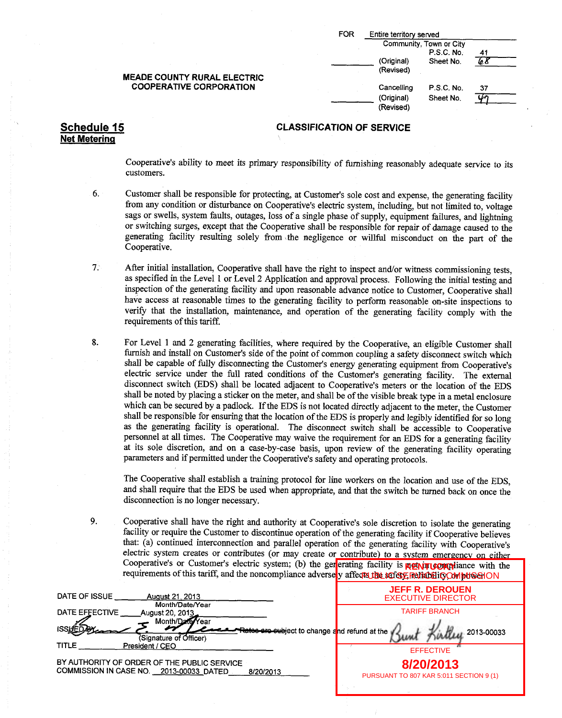| FOR | Entire territory served |                                       |    |
|-----|-------------------------|---------------------------------------|----|
|     |                         | Community, Town or City<br>P.S.C. No. | 41 |
|     | (Original)              | Sheet No.                             |    |
|     | (Revised)               |                                       |    |
|     | Cancelling              | P.S.C. No.                            | 37 |
|     | (Original)              | Sheet No.                             |    |
|     | (Revised)               |                                       |    |

#### Schedule 15 CLASSIFICATION OF SERVICE

Cooperative's ability to meet its primary responsibility of furnishing reasonably adequate service to its customers.

- 6. Customer shall be responsible for protecting, at Customer's sole cost and expense, the generating facility from any condition or disturbance on Cooperative's electric system, including, but not limited to, voltage sags or swells, system faults, outages, loss of <sup>a</sup> single phase of supply, equipment failures, and lightning or switching surges, except that the Cooperative shall be responsible for repair of damage caused to the generating facility resulting solely from the negligence or willful misconduct on the part of the Cooperative.
- 7. After initial installation, Cooperative shall have the right to inspect and/or witness commissioning tests, as specified in the Level <sup>1</sup> or Level 2 Application and approval process. Following the initial testing and inspection of the generating facility and upon reasonable advance notice to Customer, Cooperative shall have access at reasonable times to the generating facility to perform reasonable on-site inspections to verify that the installation, maintenance, and operation of the generating facility comply with the requirements of this tariff.
- 8. For Level <sup>1</sup> and <sup>2</sup> generating facilities, where required by the Cooperative, an eligible Customer shall furnish and install on Customer's side of the point of common coupling a safety disconnect switch which shall be capable of fully disconnecting the Customer's energy generating equipment from Cooperative's electric service under the full rated conditions of the Customer'<sup>s</sup> generating facility. The external disconnect switch (EDS) shall be located adjacent to Cooperative's meters or the location of the EDS shall be noted by placing a sticker on the meter, and shall be of the visible break type in a metal enclosure which can be secured by a padlock. If the EDS is not located directly adjacent to the meter, the Customer shall be responsible for ensuring that the location of the EDS is properly and legibly identified for so long as the generating facility is operational. The disconnect switch shall be accessible to Cooperative personnel at all times. The Cooperative may waive the requirement for an EDS for a generating facility at its sole discretion, and on a case-by-case basis, upon review of the generating facility operating parameters and if permitted under the Cooperative's safety and operating protocols.

The Cooperative shall establish a training protocol for line workers on the location and use of the EDS, and shall require that the EDS be used when appropriate, and that the switch be turned back on once the disconnection is no longer necessary.

9. Cooperative shall have the right and authority at Cooperative's sole discretion to isolate the generating facility or require the Customer to discontinue operation of the generating facility if Cooperative believes that: (a) continued interconnection and parallel operation of the generating facility with Cooperative's electric system creates or contributes (or may create or contribute) to a system emergency on either Cooperative's or Customer's electric system; (b) the generating facility is **RetAITUCKY** hance with the requirements of this tariff, and the noncompliance adversely affects the safety Reliability OM MUSSION

| DATE OF ISSUE<br>August 21, 2013<br>Month/Date/Year                                                                                    | <b>JEFF R. DEROUEN</b><br><b>EXECUTIVE DIRECTOR</b>                      |
|----------------------------------------------------------------------------------------------------------------------------------------|--------------------------------------------------------------------------|
| DATE EFFECTIVE<br>August 20, 2013<br>Month/Date/Year<br>Rates ars subject to change and refund at the<br>(Signature of Officer)        | <b>TARIFF BRANCH</b><br>2013-00033                                       |
| <b>TITLE</b><br>President / CEO<br>BY AUTHORITY OF ORDER OF THE PUBLIC SERVICE<br>COMMISSION IN CASE NO. 2013-00033_DATED<br>8/20/2013 | <b>EFFECTIVE</b><br>8/20/2013<br>PURSUANT TO 807 KAR 5:011 SECTION 9 (1) |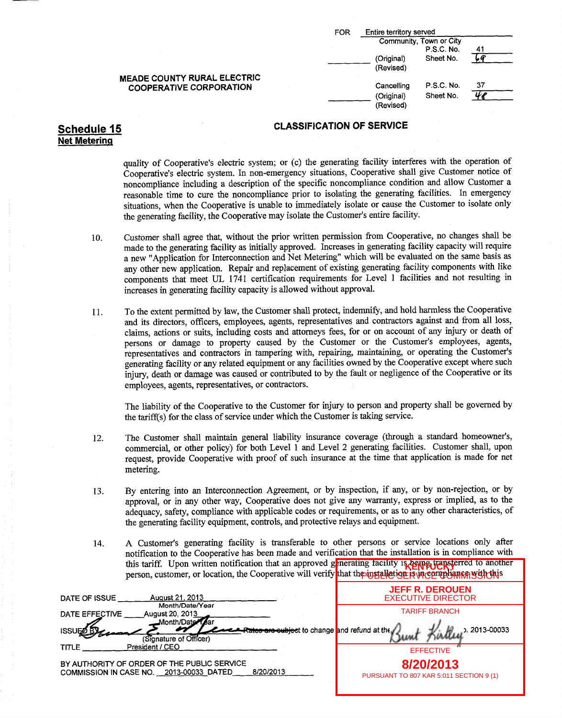| FOR | Entire territory served               |                                              |    |  |
|-----|---------------------------------------|----------------------------------------------|----|--|
|     |                                       | Community, Town or City<br><b>P.S.C. No.</b> | 41 |  |
|     | (Original)<br>(Revised)               | Sheet No.                                    |    |  |
|     | Cancelling<br>(Original)<br>(Revised) | <b>P.S.C. No.</b><br>Sheet No.               | 37 |  |

### Schedule 15 CLASSIFICATION OF SERVICE

# Net Metering

quality of Cooperative's electric system; or (c) the generating facility interferes with the operation of Cooperative's electric system. In non-emergency situations, Cooperative shall give Customer notice of noncompliance including <sup>a</sup> description of the specific noncompliance condition and allow Customer a reasonable time to cure the noncompliance prior to isolating the generating facilities. In emergency situations, when the Cooperative is unable to immediately isolate or cause the Customer to isolate only the generating facility, the Cooperative may isolate the Customer's entire facility.

- 10. Customer shall agree that, without the prior written permission from Cooperative, no changes shall be made to the generating facility as initially approved. Increases in generating facility capacity will require a new " Application for Interconnection and Net Metering" which will be evaluated on the same basis as any other new application. Repair and replacement of existing generating facility components with like components that meet UL 1741 certification requirements for Level <sup>1</sup> facilities and not resulting in increases in generating facility capacity is allowed without approval.
- 11. To the extent permitted by law, the Customer shall protect, indemnify, and hold harmless the Cooperative and its directors, officers, employees, agents, representatives and contractors against and from all loss, claims, actions or suits, including costs and attorneys fees, for or on account of any injury or death of persons or damage to property caused by the Customer or the Customer's employees, agents, representatives and contractors in tampering with, repairing, maintaining, or operating the Customer's generating facility or any related equipment or any facilities owned by the Cooperative except where such injury, death or damage was caused or contributed to by the fault or negligence of the Cooperative or its employees, agents, representatives, or contractors.

The liability of the Cooperative to the Customer for injury to person and property shall be governed by the tariffs) for the class of service under which the Customer is taking service.

- 12. The Customer shall maintain general liability insurance coverage ( through a standard homeowner's, commercial, or other policy) for both Level <sup>1</sup> and Level 2 generating facilities. Customer shall, upon request, provide Cooperative with proof of such insurance at the time that application is made for net metering.
- 13. By entering into an Interconnection Agreement, or by inspection, if any, or by non-rejection, or by approval, or in any other way, Cooperative does not give any warranty, express or implied, as to the adequacy, safety, compliance with applicable codes or requirements, or as to any other characteristics, of the generating facility equipment, controls, and protective relays and equipment.
- 14. A Customer's generating facility is transferable to other persons or service locations only after notification to the Cooperative has been made and verification that the installation is in compliance with this tariff. Upon written notification that an approved generating facility is being transferred to another person, customer, or location, the Cooperative will verify that though alleting is with the with this

| August 21, 2013<br>DATE OF ISSUE                                                                              | <b>JEFF R. DEROUEN</b><br><b>EXECUTIVE DIRECTOR</b>  |
|---------------------------------------------------------------------------------------------------------------|------------------------------------------------------|
| Month/Date/Year<br>DATE EFFECTIVE<br><b>August 20, 2013</b><br>innth/Date                                     | <b>TARIFF BRANCH</b>                                 |
| र <del>क्षाटङ are subjec</del> t to change <mark>a</mark> nd refund at the<br>ISSUE<br>(Signature of Officer) | . 2013-00033                                         |
| President / CEO<br>TITLE                                                                                      | <b>EFFECTIVE</b>                                     |
| BY AUTHORITY OF ORDER OF THE PUBLIC SERVICE<br>8/20/2013<br>COMMISSION IN CASE NO. 2013-00033 DATED           | 8/20/2013<br>PURSUANT TO 807 KAR 5:011 SECTION 9 (1) |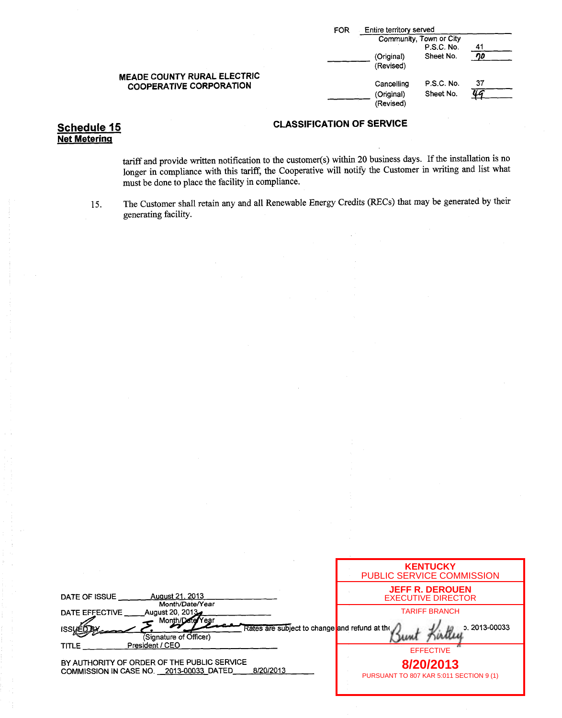|                                                                      | FOR | Entire territory served |                         |      |
|----------------------------------------------------------------------|-----|-------------------------|-------------------------|------|
|                                                                      |     |                         | Community, Town or City |      |
|                                                                      |     |                         | P.S.C. No.              | ึ 41 |
|                                                                      |     | (Original)<br>(Revised) | Sheet No.               |      |
| <b>MEADE COUNTY RURAL ELECTRIC</b><br><b>COOPERATIVE CORPORATION</b> |     | Cancelling              | P.S.C. No.              | 37   |
|                                                                      |     | (Original)<br>(Revised) | Sheet No.               | ШG   |

# Net Metering

tariff and provide written notification to the customer(s) within 20 business days. If the installation is no longer in compliance with this tariff, the Cooperative will notify the Customer in writing and list what must be done to place the facility in compliance.

15. The Customer shall retain any and all Renewable Energy Credits( RECs) that may be generated by their generating facility.

|                                                                                                     | <b>KENTUCKY</b><br>PUBLIC SERVICE COMMISSION         |
|-----------------------------------------------------------------------------------------------------|------------------------------------------------------|
| <b>August 21, 2013</b><br>DATE OF ISSUE<br>Month/Date/Year                                          | <b>JEFF R. DEROUEN</b><br><b>EXECUTIVE DIRECTOR</b>  |
| August 20, 2013<br>DATE EFFECTIVE<br>Month/Date/Year                                                | <b>TARIFF BRANCH</b>                                 |
| Rates are subject to change and refund at the<br><b>ISSUED</b><br>(Signature of Officer)            | p. 2013-00033                                        |
| President / CEO<br><b>TITLE</b>                                                                     | <b>EFFECTIVE</b>                                     |
| BY AUTHORITY OF ORDER OF THE PUBLIC SERVICE<br>8/20/2013<br>COMMISSION IN CASE NO. 2013-00033_DATED | 8/20/2013<br>PURSUANT TO 807 KAR 5:011 SECTION 9 (1) |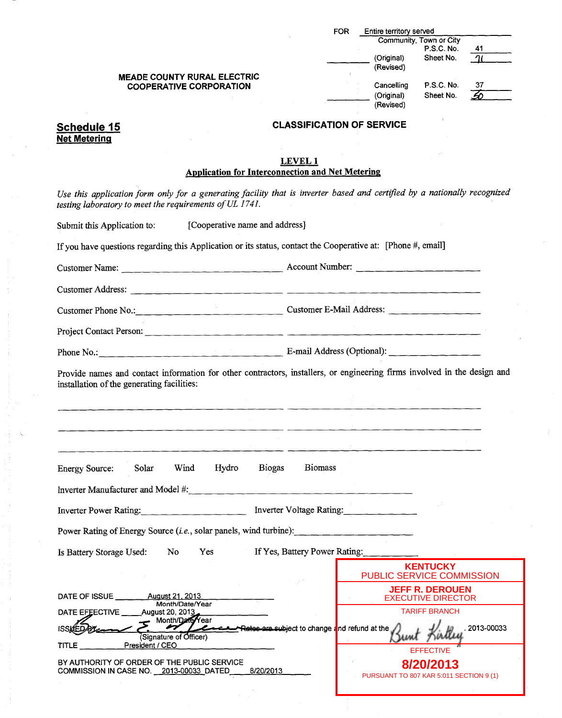|                                                                                                                                                                                                                                |                                  | FOR. | Entire territory served                              |                                              |                |
|--------------------------------------------------------------------------------------------------------------------------------------------------------------------------------------------------------------------------------|----------------------------------|------|------------------------------------------------------|----------------------------------------------|----------------|
|                                                                                                                                                                                                                                |                                  |      |                                                      | Community, Town or City<br>P.S.C. No.        |                |
|                                                                                                                                                                                                                                |                                  |      | (Original)                                           | Sheet No.                                    | 41<br>$\gamma$ |
|                                                                                                                                                                                                                                |                                  |      | (Revised)                                            |                                              |                |
| <b>MEADE COUNTY RURAL ELECTRIC</b><br><b>COOPERATIVE CORPORATION</b>                                                                                                                                                           |                                  |      | Cancelling                                           | P.S.C. No.                                   | 37             |
|                                                                                                                                                                                                                                |                                  |      | (Original)                                           | Sheet No.                                    | 50             |
|                                                                                                                                                                                                                                |                                  |      | (Revised)                                            |                                              |                |
| Schedule 15                                                                                                                                                                                                                    | <b>CLASSIFICATION OF SERVICE</b> |      |                                                      |                                              |                |
| <b>Net Metering</b>                                                                                                                                                                                                            |                                  |      |                                                      |                                              |                |
|                                                                                                                                                                                                                                | LEVEL 1                          |      |                                                      |                                              |                |
| <b>Application for Interconnection and Net Metering</b>                                                                                                                                                                        |                                  |      |                                                      |                                              |                |
| Use this application form only for a generating facility that is inverter based and certified by a nationally recognized<br>testing laboratory to meet the requirements of UL 1741.                                            |                                  |      |                                                      |                                              |                |
| [Cooperative name and address]<br>Submit this Application to:                                                                                                                                                                  |                                  |      |                                                      |                                              |                |
| If you have questions regarding this Application or its status, contact the Cooperative at: [Phone #, email]                                                                                                                   |                                  |      |                                                      |                                              |                |
| Customer Name: <u>Customer Name:</u> Account Number:                                                                                                                                                                           |                                  |      |                                                      |                                              |                |
| Customer Address: 2008. The contract of the contract of the contract of the contract of the contract of the contract of the contract of the contract of the contract of the contract of the contract of the contract of the co |                                  |      |                                                      |                                              |                |
| Customer Phone No.: Customer E-Mail Address:                                                                                                                                                                                   |                                  |      |                                                      |                                              |                |
|                                                                                                                                                                                                                                |                                  |      |                                                      |                                              |                |
| Phone No.: Phone No.: 2008. The Committee of the Committee of the Committee of the Committee of the Committee of the Committee of the Committee of the Committee of the Committee of the Committee of the Committee of the Com |                                  |      |                                                      |                                              |                |
| Provide names and contact information for other contractors, installers, or engineering firms involved in the design and<br>installation of the generating facilities:                                                         |                                  |      |                                                      |                                              |                |
|                                                                                                                                                                                                                                |                                  |      |                                                      |                                              |                |
|                                                                                                                                                                                                                                |                                  |      |                                                      |                                              |                |
|                                                                                                                                                                                                                                |                                  |      |                                                      |                                              |                |
| Hydro<br>Wind<br><b>Energy Source:</b><br>Solar                                                                                                                                                                                | <b>Biomass</b><br><b>Biogas</b>  |      |                                                      |                                              |                |
| Inverter Manufacturer and Model #:                                                                                                                                                                                             |                                  |      |                                                      |                                              |                |
| Inverter Power Rating:                                                                                                                                                                                                         | Inverter Voltage Rating:         |      |                                                      |                                              |                |
| Power Rating of Energy Source (i.e., solar panels, wind turbine):                                                                                                                                                              |                                  |      | <u> 1988 - Andrea Stein, Amerikaansk politiker (</u> |                                              |                |
| Yes If Yes, Battery Power Rating:<br>Is Battery Storage Used:<br>No.                                                                                                                                                           |                                  |      |                                                      |                                              |                |
|                                                                                                                                                                                                                                |                                  |      | PUBLIC SERVICE COMMISSION                            | <b>KENTUCKY</b>                              |                |
| DATE OF ISSUE ________ August 21, 2013<br>Month/Date/Year                                                                                                                                                                      |                                  |      |                                                      | <b>JEFF R. DEROUEN</b><br>EXECUTIVE DIRECTOR |                |
| DATE EFEECTIVE __ __ August 20, 2013<br>Month/Date/Year                                                                                                                                                                        |                                  |      |                                                      | <b>TARIFF BRANCH</b>                         |                |
| Retocare subject to change and refund at the<br>(Signature of Officer)                                                                                                                                                         |                                  |      |                                                      |                                              | .2013-00033    |
| President / CEO<br>TITLE                                                                                                                                                                                                       |                                  |      |                                                      | EFFECTIVE                                    |                |

BY AUTHORITY OF ORDER OF THE PUBLIC SERVICE COMMISSION IN CASE NO. \_\_20<u>13-00033\_</u>DATED\_\_\_\_\_8/2<u>0/2013</u>

**8/20/2013** PURSUANT TO 807 KAR 5:011 SECTION 9 (1)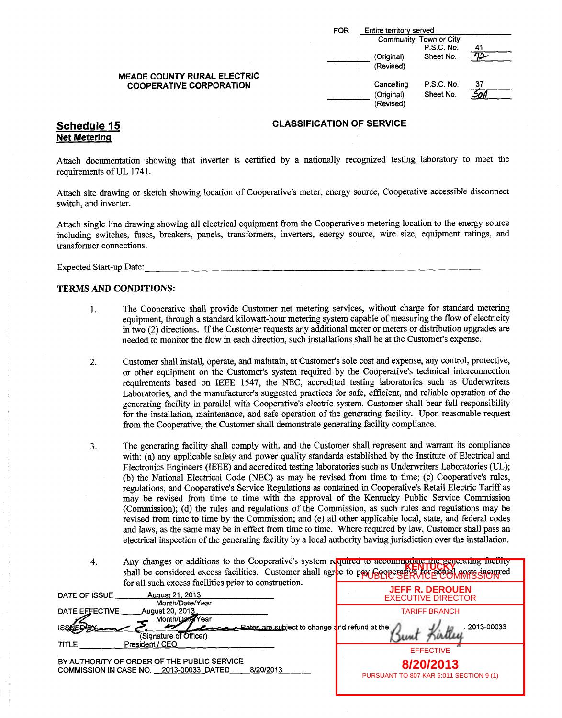|                                | FOR | Entire territory served<br>Community, Town or City |                   |     |
|--------------------------------|-----|----------------------------------------------------|-------------------|-----|
|                                |     |                                                    | <b>P.S.C. No.</b> | 41  |
|                                |     | (Original)                                         | Sheet No.         |     |
|                                |     | (Revised)                                          |                   |     |
| MEADE COUNTY RURAL ELECTRIC    |     |                                                    |                   |     |
| <b>COOPERATIVE CORPORATION</b> |     | Cancelling                                         | <b>P.S.C. No.</b> | -37 |
|                                |     | (Original)                                         | Sheet No.         |     |
|                                |     | (Revised)                                          |                   |     |
|                                |     |                                                    |                   |     |

# Net Metering

Attach documentation showing that inverter is certified by a nationally recognized testing laboratory to meet the requirements of UL 1741.

Attach site drawing or sketch showing location of Cooperative's meter, energy source, Cooperative accessible disconnect switch, and inverter.

Attach single line drawing showing all electrical equipment from the Cooperative's metering location to the energy source including switches, fuses, breakers, panels, transformers, inverters, energy source, wire size, equipment ratings, and transformer connections.

Expected Start-up Date:

#### TERMS AND CONDITIONS:

- 1. The Cooperative shall provide Customer net metering services, without charge for standard metering equipment, through a standard kilowatt-hour metering system capable of measuring the flow of electricity in two( 2) directions. Ifthe Customer requests any additional meter or meters or distribution upgrades are needed to monitor the flow in each direction, such installations shall be at the Customer's expense.
- 2. Customer shall install, operate, and maintain, at Customer's sole cost and expense, any control, protective, or other equipment on the Customer's system required by the Cooperative's technical interconnection requirements based on IEEE 1547, the NEC, accredited testing laboratories such as Underwriters Laboratories, and the manufacturer's suggested practices for safe, efficient, and reliable operation of the generating facility in parallel with Cooperative's electric system. Customer shall bear full responsibility for the installation, maintenance, and safe operation of the generating facility. Upon reasonable request from the Cooperative, the Customer shall demonstrate generating facility compliance.
- 3. The generating facility shall comply with, and the Customer shall represent and warrant its compliance with: (a) any applicable safety and power quality standards established by the Institute of Electrical and Electronics Engineers (IEEE) and accredited testing laboratories such as Underwriters Laboratories (UL); (b) the National Electrical Code (NEC) as may be revised from time to time; (c) Cooperative's rules, regulations, and Cooperative's Service Regulations as contained in Cooperative's Retail Electric Tariff as may be revised from time to time with the approval of the Kentucky Public Service Commission (Commission); (d) the rules and regulations of the Commission, as such rules and regulations may be revised from time to time by the Commission; and (e) all other applicable local, state, and federal codes and laws, as the same may be in effect from time to time. Where required by law, Customer shall pass an electrical inspection of the generating facility by <sup>a</sup> local authority having jurisdiction over the installation.
- 4. Any changes or additions to the Cooperative's system required to accommodate the generating facility shall be considered excess facilities. Customer shall agree to pay Cooperative for a costs included to considered for all such excess facilities prior to construction. PUBLIC SERVICE COMMISSION

| Tor an sach excess racinties prior to consumerion.                                                                   |                                                      |
|----------------------------------------------------------------------------------------------------------------------|------------------------------------------------------|
| <b>August 21, 2013</b><br>DATE OF ISSUE<br>Month/Date/Year                                                           | <b>JEFF R. DEROUEN</b><br><b>EXECUTIVE DIRECTOR</b>  |
| DATE EFFECTIVE<br>August 20, 2013                                                                                    | <b>TARIFF BRANCH</b>                                 |
| Month/Date/Year<br><b>Rates are subject to change and refund at the</b><br>(Signature of Officer)<br>President / CEO | 2013-00033                                           |
| TITLE                                                                                                                | <b>EFFECTIVE</b>                                     |
| BY AUTHORITY OF ORDER OF THE PUBLIC SERVICE<br>8/20/2013<br>COMMISSION IN CASE NO. 2013-00033 DATED                  | 8/20/2013<br>PURSUANT TO 807 KAR 5:011 SECTION 9 (1) |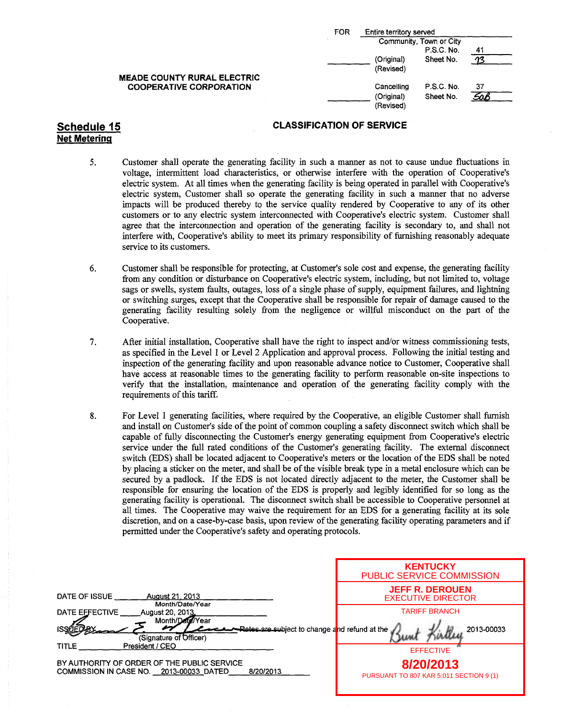Net Metering

| FOR | Entire territory served               |                                       |    |
|-----|---------------------------------------|---------------------------------------|----|
|     |                                       | Community, Town or City<br>P.S.C. No. | 41 |
|     | (Original)<br>(Revised)               | Sheet No.                             |    |
|     | Cancelling<br>(Original)<br>(Revised) | <b>P.S.C. No.</b><br>Sheet No.        | 37 |

### Schedule 15 CLASSIFICATION OF SERVICE

- 5. Customer shall operate the generating facility in such a manner as not to cause undue fluctuations in voltage, intermittent load characteristics, or otherwise interfere with the operation of Cooperative's electric system. At all times when the generating facility is being operated in parallel with Cooperative's electric system, Customer shall so operate the generating facility in such a manner that no adverse impacts will be produced thereby to the service quality rendered by Cooperative to any of its other customers or to any electric system interconnected with Cooperative'<sup>s</sup> electric system. Customer shall agree that the interconnection and operation of the generating facility is secondary to, and shall not interfere with, Cooperative's ability to meet its primary responsibility of furnishing reasonably adequate service to its customers.
- 6. Customer shall be responsible for protecting, at Customer's sole cost and expense, the generating facility from any condition or disturbance on Cooperative's electric system, including, but not limited to, voltage sags or swells, system faults, outages, loss of <sup>a</sup> single phase of supply, equipment failures, and lightning or switching surges, except that the Cooperative shall be responsible for repair of damage caused to the generating facility resulting solely from the negligence or willful misconduct on the part of the Cooperative.
- 7. After initial installation, Cooperative shall have the right to inspect and/or witness commissioning tests, as specified in the Level <sup>1</sup> or Level 2 Application and approval process. Following the initial testing and inspection of the generating facility and upon reasonable advance notice to Customer, Cooperative shall have access at reasonable times to the generating facility to perform reasonable on-site inspections to verify that the installation, maintenance and operation of the generating facility comply with the requirements of this tariff.
- 8. For Level <sup>1</sup> generating facilities, where required by the Cooperative, an eligible Customer shall furnish and install on Customer's side of the point of common coupling <sup>a</sup> safety disconnect switch which shall be capable of fully disconnecting the Customer's energy generating equipment from Cooperative's electric service under the full rated conditions of the Customer'<sup>s</sup> generating facility. The external disconnect switch( EDS) shall be located adjacent to Cooperative's meters or the location of the EDS shall be noted by placing a sticker on the meter, and shall be of the visible break type in a metal enclosure which can be secured by <sup>a</sup> padlock. If the EDS is not located directly adjacent to the meter, the Customer shall be responsible for ensuring the location of the EDS is properly and legibly identified for so long as the generating facility is operational. The disconnect switch shall be accessible to Cooperative personnel at all times. The Cooperative may waive the requirement for an EDS for a generating facility at its sole discretion, and on <sup>a</sup> case-by-case basis, upon review of the generating facility operating parameters and if permitted under the Cooperative's safety and operating protocols.

| DATE OF ISSUE<br><b>August 21, 2013</b><br>Month/Date/Year                                          | <b>KENTUCKY</b><br><b>PUBLIC SERVICE COMMISSION</b>  |
|-----------------------------------------------------------------------------------------------------|------------------------------------------------------|
|                                                                                                     | <b>JEFF R. DEROUEN</b><br><b>EXECUTIVE DIRECTOR</b>  |
| DATE EFFECTIVE<br>August 20, 2013.                                                                  | <b>TARIFF BRANCH</b>                                 |
| Month/Date/Year<br>Rates are subject to change and refund at the<br>(Signature of Officer)          | 2013-00033                                           |
| President / CEO<br><b>TITLE</b>                                                                     | <b>EFFECTIVE</b>                                     |
| BY AUTHORITY OF ORDER OF THE PUBLIC SERVICE<br>COMMISSION IN CASE NO. 2013-00033 DATED<br>8/20/2013 | 8/20/2013<br>PURSUANT TO 807 KAR 5:011 SECTION 9 (1) |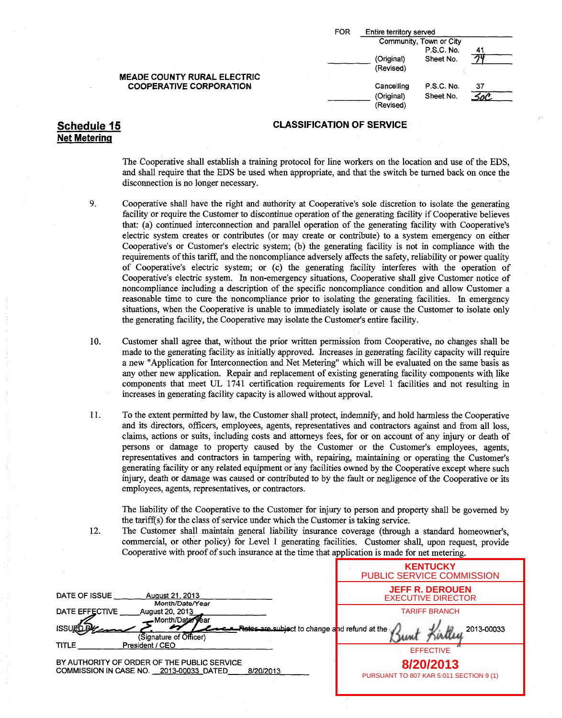| <b>FOR</b> | Entire territory served |                                       |    |
|------------|-------------------------|---------------------------------------|----|
|            |                         | Community, Town or City<br>P.S.C. No. | 41 |
|            | (Original)<br>(Revised) | Sheet No.                             |    |
|            | Cancelling              | P.S.C. No.                            | 37 |
|            | (Original)<br>(Revised) | Sheet No.                             |    |

#### Schedule 15 CLASSIFICATION OF SERVICE

The Cooperative shall establish a training protocol for line workers on the location and use of the EDS, and shall require that the EDS be used when appropriate, and that the switch be turned back on once the disconnection is no longer necessary.

- 9. Cooperative shall have the right and authority at Cooperative's sole discretion to isolate the generating facility or require the Customer to discontinue operation of the generating facility if Cooperative believes that: (a) continued interconnection and parallel operation of the generating facility with Cooperative's electric system creates or contributes (or may create or contribute) to a system emergency on either Cooperative's or Customer's electric system; (b) the generating facility is not in compliance with the requirements of this tariff, and the noncompliance adversely affects the safety, reliability or power quality of Cooperative's electric system; or (c) the generating facility interferes with the operation of Cooperative's electric system. In non-emergency situations, Cooperative shall give Customer notice of noncompliance including a description of the specific noncompliance condition and allow Customer <sup>a</sup> reasonable time to cure the noncompliance prior to isolating the generating facilities. In emergency situations, when the Cooperative is unable to immediately isolate or cause the Customer to isolate only the generating facility, the Cooperative may isolate the Customer's entire facility.
- 10. Customer shall agree that, without the prior written permission from Cooperative, no changes shall be made to the generating facility as initially approved. Increases in generating facility capacity will require <sup>a</sup> new "Application for Interconnection and Net Metering" which will be evaluated on the same basis as any other new application. Repair and replacement of existing generating facility components with like components that meet UL 1741 certification requirements for Level <sup>1</sup> facilities and not resulting in increases in generating facility capacity is allowed without approval.
- 11. To the extent permitted by law, the Customer shall protect, indemnify, and hold harmless the Cooperative and its directors, officers, employees, agents, representatives and contractors against and from all loss, claims, actions or suits, including costs and attorneys fees, for or on account of any injury or death of persons or damage to property caused by the Customer or the Customer's employees, agents, representatives and contractors in tampering with, repairing, maintaining or operating the Customer's generating facility or any related equipment or any facilities owned by the Cooperative except where such injury, death or damage was caused or contributed to by the fault or negligence of the Cooperative or its employees, agents, representatives, or contractors.

The liability of the Cooperative to the Customer for injury to person and property shall be governed by the tariff(s) for the class of service under which the Customer is taking service.

12. The Customer shall maintain general liability insurance coverage ( through a standard homeowner's, commercial, or other policy) for Level <sup>1</sup> generating facilities. Customer shall, upon request, provide Cooperative with proof of such insurance at the time that application is made for net metering.

|                                                                                                     | <b>KENTUCKY</b><br><b>PUBLIC SERVICE COMMISSION</b>  |
|-----------------------------------------------------------------------------------------------------|------------------------------------------------------|
| DATE OF ISSUE<br><b>August 21, 2013</b><br>Month/Date/Year                                          | <b>JEFF R. DEROUEN</b><br><b>EXECUTIVE DIRECTOR</b>  |
| DATE EFFECTIVE<br>August 20, 2013<br>Month/Date <del>/</del>                                        | <b>TARIFF BRANCH</b>                                 |
| r⁄⁄ear<br>Rates are subject to change and refund at the                                             | 2013-00033                                           |
| (Signature of Officer)<br><b>TITLE</b><br>President / CEO                                           | <b>EFFECTIVE</b>                                     |
| BY AUTHORITY OF ORDER OF THE PUBLIC SERVICE<br>COMMISSION IN CASE NO. 2013-00033 DATED<br>8/20/2013 | 8/20/2013<br>PURSUANT TO 807 KAR 5:011 SECTION 9 (1) |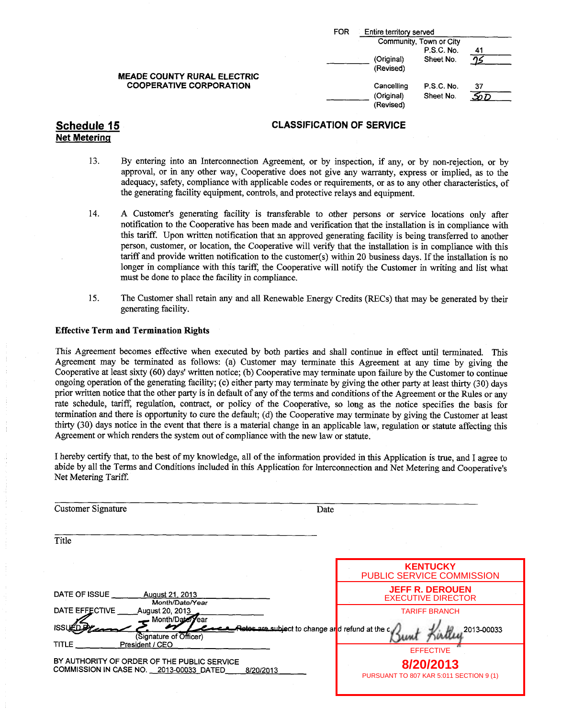|                                    | <b>FOR</b><br>Entire territory served                                    |  |
|------------------------------------|--------------------------------------------------------------------------|--|
|                                    | Community, Town or City                                                  |  |
|                                    | P.S.C. No.<br>41                                                         |  |
| <b>MEADE COUNTY RURAL ELECTRIC</b> | (Original)<br>Sheet No.<br>(Revised)                                     |  |
| <b>COOPERATIVE CORPORATION</b>     | Cancelling<br><b>P.S.C. No.</b><br>37<br>(Original)<br>Sheet No.<br>5o D |  |
|                                    | (Revised)                                                                |  |

- 13. By entering into an Interconnection Agreement, or by inspection, if any, or by non-rejection, or by approval, or in any other way, Cooperative does not give any warranty, express or implied, as to the adequacy, safety, compliance with applicable codes or requirements, or as to any other characteristics, of the generating facility equipment, controls, and protective relays and equipment.
- 14. A Customer's generating facility is transferable to other persons or service locations only after notification to the Cooperative has been made and verification that the installation is in compliance with this tariff. Upon written notification that an approved generating facility is being transferred to another person, customer, or location, the Cooperative will verify that the installation is in compliance with this tariff and provide written notification to the customer(s) within 20 business days. Ifthe installation is no longer in compliance with this tariff; the Cooperative will notify the Customer in writing and list what must be done to place the facility in compliance.
- 15. The Customer shall retain any and all Renewable Energy Credits ( RECs) that may be generated by their generating facility.

#### Effective Term and Termination Rights

This Agreement becomes effective when executed by both parties and shall continue in effect until terminated. This Agreement may be terminated as follows: (a) Customer may terminate this Agreement at any time by giving the Cooperative at least sixty( 60) days' written notice;( b) Cooperative may terminate upon failure by the Customer to continue ongoing operation of the generating facility;( c) either party may terminate by giving the other party at least thirty( 30) days prior written notice that the other party is in default of any of the terms and conditions of the Agreement or the Rules or any rate schedule, tariff, regulation, contract, or policy of the Cooperative, so long as the notice specifies the basis for termination and there is opportunity to cure the default; (d) the Cooperative may terminate by giving the Customer at least thirty( 30) days notice in the event that there is a material change in an applicable law, regulation or statute affecting this Agreement or which renders the system out of compliance with the new law or statute.

I hereby certify that, to the best of my knowledge, all of the information provided in this Application is true, and I agree to abide by all the Terms and Conditions included in this Application for Interconnection and Net Metering and Cooperative's Net Metering Tariff.

| <b>Customer Signature</b>                                                                                             | Date                                                 |
|-----------------------------------------------------------------------------------------------------------------------|------------------------------------------------------|
| Title                                                                                                                 |                                                      |
|                                                                                                                       | <b>KENTUCKY</b><br>PUBLIC SERVICE COMMISSION         |
| DATE OF ISSUE<br><b>August 21, 2013</b><br>Month/Date/Year                                                            | <b>JEFF R. DEROUEN</b><br><b>EXECUTIVE DIRECTOR</b>  |
| DATE EFFECTIVE<br>August 20, 2013<br>Month/Date/                                                                      | <b>TARIFF BRANCH</b>                                 |
| <b>ISSLE</b><br>Retes are subject to change ard refund at the c<br>(Signature of Officer)<br>President / CEO<br>TITLE | 2013-00033                                           |
| BY AUTHORITY OF ORDER OF THE PUBLIC SERVICE                                                                           | <b>EFFECTIVE</b>                                     |
| COMMISSION IN CASE NO. 2013-00033 DATED<br>8/20/2013                                                                  | 8/20/2013<br>PURSUANT TO 807 KAR 5:011 SECTION 9 (1) |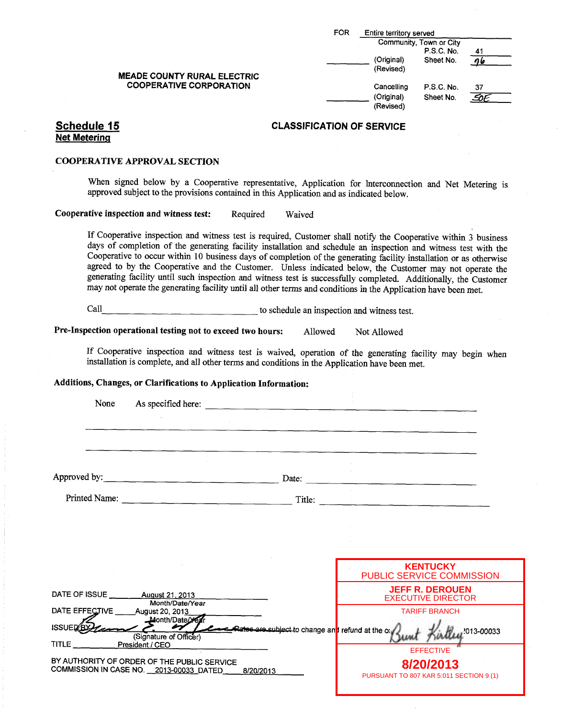|                                                                      | <b>FOR</b><br>Entire territory served |  |
|----------------------------------------------------------------------|---------------------------------------|--|
|                                                                      | Community, Town or City               |  |
|                                                                      | P.S.C. No.<br>41                      |  |
|                                                                      | (Original)<br>Sheet No.               |  |
|                                                                      | (Revised)                             |  |
| <b>MEADE COUNTY RURAL ELECTRIC</b><br><b>COOPERATIVE CORPORATION</b> | Cancelling<br>P.S.C. No.<br>37        |  |
|                                                                      | (Original)<br>Sheet No.               |  |
|                                                                      | (Revised)                             |  |
| 15                                                                   | CLASSIFICATION OF SERVICE.            |  |

#### Schedule 15 Net Metering

#### COOPERATIVE APPROVAL SECTION

When signed below by a Cooperative representative, Application for Interconnection and Net Metering is approved subject to the provisions contained in this Application and as indicated below.

Cooperative inspection and witness test: Required Waived

If Cooperative inspection and witness test is required, Customer shall notify the Cooperative within <sup>3</sup> business days of completion of the generating facility installation and schedule an inspection and witness test with the Cooperative to occur within <sup>10</sup> business days of completion of the generating facility installation or as otherwise agreed to by the Cooperative and the Customer. Unless indicated below, the Customer may not operate the generating facility until such inspection and witness test is successfully completed. Additionally, the Customer may not operate the generating facility until all other terms and conditions in the Application have been met.

Call <u>example and the schedule and inspection and witness test</u>.

Pre-Inspection operational testing not to exceed two hours: Allowed Not Allowed

If Cooperative inspection and witness test is waived, operation of the generating facility may begin when installation is complete, and all other terms and conditions in the Application have been met.

#### Additions, Changes, or Clarifications to Application Information:

| None           | As specified here:                                                                     |                                                                      |                                                      |  |
|----------------|----------------------------------------------------------------------------------------|----------------------------------------------------------------------|------------------------------------------------------|--|
|                |                                                                                        |                                                                      |                                                      |  |
|                |                                                                                        |                                                                      |                                                      |  |
|                |                                                                                        |                                                                      |                                                      |  |
|                |                                                                                        | Date:                                                                |                                                      |  |
| Printed Name:  |                                                                                        | Title:                                                               |                                                      |  |
|                |                                                                                        |                                                                      |                                                      |  |
|                |                                                                                        |                                                                      |                                                      |  |
|                |                                                                                        |                                                                      |                                                      |  |
|                |                                                                                        |                                                                      | <b>KENTUCKY</b><br>PUBLIC SERVICE COMMISSION         |  |
| DATE OF ISSUE  | August 21, 2013<br>Month/Date/Year                                                     |                                                                      | <b>JEFF R. DEROUEN</b><br><b>EXECUTIVE DIRECTOR</b>  |  |
| DATE EFFECTIVE | _August 20, 201 <u>3_</u><br>Month/Date/Xe                                             |                                                                      | <b>TARIFF BRANCH</b>                                 |  |
| <b>ISSUE</b>   | n<br>(Signature of Officer)                                                            | Rates are subject to change an <mark>t</mark> refund at the $\alpha$ | 2013-00033                                           |  |
| <b>TITLE</b>   | President / CEO                                                                        |                                                                      | <b>EFFECTIVE</b>                                     |  |
|                | BY AUTHORITY OF ORDER OF THE PUBLIC SERVICE<br>COMMISSION IN CASE NO. 2013-00033_DATED | 8/20/2013                                                            | 8/20/2013<br>PURSUANT TO 807 KAR 5:011 SECTION 9 (1) |  |
|                |                                                                                        |                                                                      |                                                      |  |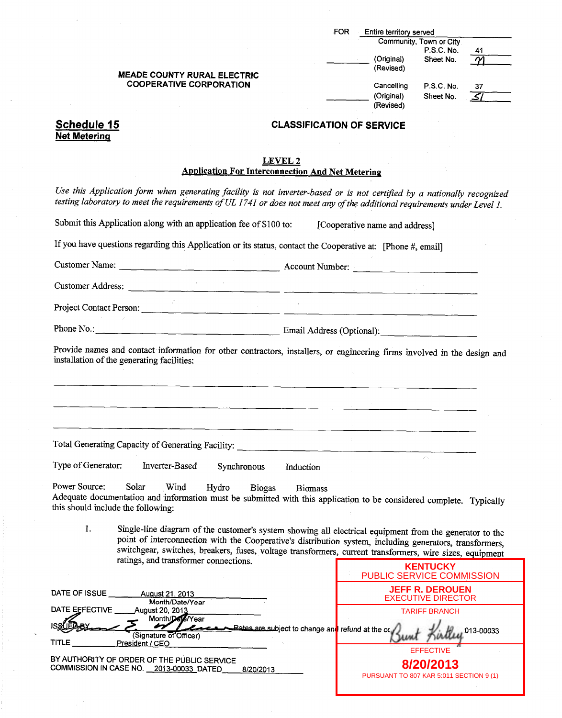|                                                                                                                                                                                                                                                                                                                                                                                | <b>FOR</b>                                              | Entire territory served        |                                                     |                          |
|--------------------------------------------------------------------------------------------------------------------------------------------------------------------------------------------------------------------------------------------------------------------------------------------------------------------------------------------------------------------------------|---------------------------------------------------------|--------------------------------|-----------------------------------------------------|--------------------------|
|                                                                                                                                                                                                                                                                                                                                                                                |                                                         |                                | Community, Town or City                             |                          |
|                                                                                                                                                                                                                                                                                                                                                                                |                                                         |                                | P.S.C. No.                                          | 41                       |
|                                                                                                                                                                                                                                                                                                                                                                                |                                                         | (Original)<br>(Revised)        | Sheet No.                                           |                          |
| <b>MEADE COUNTY RURAL ELECTRIC</b>                                                                                                                                                                                                                                                                                                                                             |                                                         |                                |                                                     |                          |
| <b>COOPERATIVE CORPORATION</b>                                                                                                                                                                                                                                                                                                                                                 |                                                         | Cancelling                     | P.S.C. No.                                          | 37                       |
|                                                                                                                                                                                                                                                                                                                                                                                |                                                         | (Original)<br>(Revised)        | Sheet No.                                           | $\overline{\mathcal{S}}$ |
|                                                                                                                                                                                                                                                                                                                                                                                |                                                         |                                |                                                     |                          |
| Schedule 15                                                                                                                                                                                                                                                                                                                                                                    | <b>CLASSIFICATION OF SERVICE</b>                        |                                |                                                     |                          |
| <b>Net Metering</b>                                                                                                                                                                                                                                                                                                                                                            |                                                         |                                |                                                     |                          |
|                                                                                                                                                                                                                                                                                                                                                                                |                                                         |                                |                                                     |                          |
| <b>LEVEL 2</b><br><b>Application For Interconnection And Net Metering</b>                                                                                                                                                                                                                                                                                                      |                                                         |                                |                                                     |                          |
|                                                                                                                                                                                                                                                                                                                                                                                |                                                         |                                |                                                     |                          |
| Use this Application form when generating facility is not inverter-based or is not certified by a nationally recognized<br>testing laboratory to meet the requirements of UL 1741 or does not meet any of the additional requirements under Level 1.                                                                                                                           |                                                         |                                |                                                     |                          |
| Submit this Application along with an application fee of \$100 to:                                                                                                                                                                                                                                                                                                             |                                                         | [Cooperative name and address] |                                                     |                          |
| If you have questions regarding this Application or its status, contact the Cooperative at: [Phone #, email]                                                                                                                                                                                                                                                                   |                                                         |                                |                                                     |                          |
| Customer Name: <u>Account Number:</u> Account Number:                                                                                                                                                                                                                                                                                                                          |                                                         |                                |                                                     |                          |
| Customer Address:                                                                                                                                                                                                                                                                                                                                                              |                                                         |                                |                                                     |                          |
| Project Contact Person:                                                                                                                                                                                                                                                                                                                                                        |                                                         |                                |                                                     |                          |
|                                                                                                                                                                                                                                                                                                                                                                                |                                                         |                                |                                                     |                          |
| Provide names and contact information for other contractors, installers, or engineering firms involved in the design and<br>installation of the generating facilities:                                                                                                                                                                                                         |                                                         |                                |                                                     |                          |
|                                                                                                                                                                                                                                                                                                                                                                                |                                                         |                                |                                                     |                          |
|                                                                                                                                                                                                                                                                                                                                                                                |                                                         |                                |                                                     |                          |
| Total Generating Capacity of Generating Facility:                                                                                                                                                                                                                                                                                                                              |                                                         |                                |                                                     |                          |
| Type of Generator:<br>Inverter-Based<br>Synchronous                                                                                                                                                                                                                                                                                                                            | Induction                                               |                                |                                                     |                          |
| Power Source:<br>Solar<br>Wind<br>Hydro<br><b>Biogas</b><br>Adequate documentation and information must be submitted with this application to be considered complete. Typically<br>this should include the following:                                                                                                                                                          | <b>Biomass</b>                                          |                                |                                                     |                          |
| 1.<br>Single-line diagram of the customer's system showing all electrical equipment from the generator to the<br>point of interconnection with the Cooperative's distribution system, including generators, transformers,<br>switchgear, switches, breakers, fuses, voltage transformers, current transformers, wire sizes, equipment<br>ratings, and transformer connections. |                                                         |                                |                                                     |                          |
|                                                                                                                                                                                                                                                                                                                                                                                |                                                         | PUBLIC SERVICE COMMISSION      | <b>KENTUCKY</b>                                     |                          |
| DATE OF ISSUE<br>August 21, 2013<br>Month/Date/Year                                                                                                                                                                                                                                                                                                                            |                                                         |                                | <b>JEFF R. DEROUEN</b><br><b>EXECUTIVE DIRECTOR</b> |                          |
| <b>DATE EFFECTIVE</b><br>August 20, 201 <u>3</u>                                                                                                                                                                                                                                                                                                                               |                                                         |                                | <b>TARIFF BRANCH</b>                                |                          |
| Month/Date/Year                                                                                                                                                                                                                                                                                                                                                                | <b>Bates are subject to change and refund at the co</b> |                                |                                                     | 013-00033                |
| (Signature of Officer)<br>TITLE<br>President / CEO                                                                                                                                                                                                                                                                                                                             |                                                         |                                | <b>EFFECTIVE</b>                                    |                          |
| BY AUTHORITY OF ORDER OF THE PUBLIC SERVICE<br>COMMISSION IN CASE NO. 2013-00033_DATED<br>8/20/2013                                                                                                                                                                                                                                                                            |                                                         |                                | 8/20/2013                                           |                          |

PURSUANT TO 807 KAR 5:011 SECTION 9 (1)

Ť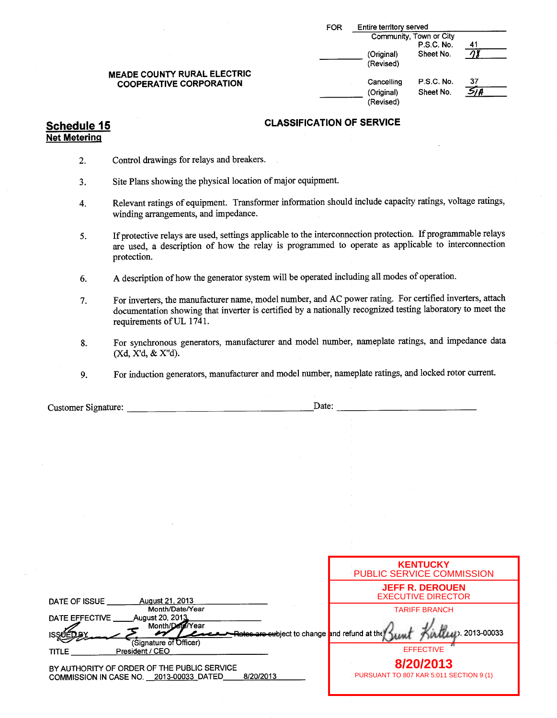|                                                                      | Entire territory served<br><b>FOR</b>                                  |
|----------------------------------------------------------------------|------------------------------------------------------------------------|
|                                                                      | Community, Town or City<br>P.S.C. No.<br>41                            |
|                                                                      | (Original)<br>Sheet No.<br>(Revised)                                   |
| <b>MEADE COUNTY RURAL ELECTRIC</b><br><b>COOPERATIVE CORPORATION</b> | 37<br>P.S.C. No.<br>Cancelling<br>Sheet No.<br>(Original)<br>(Revised) |

- 2. Control drawings for relays and breakers.
- 3. Site Plans showing the physical location of major equipment.
- 4. Relevant ratings of equipment. Transformer information should include capacity ratings, voltage ratings, winding arrangements, and impedance.
- 5. If protective relays are used, settings applicable to the interconnection protection. If programmable relays are used, a description of how the relay is programmed to operate as applicable to interconnection protection.
- 6. A description of how the generator system will be operated including all modes of operation.
- 7. For inverters, the manufacturer name, model number, and AC power rating. For certified inverters, attach documentation showing that inverter is certified by a nationally recognized testing laboratory to meet the requirements of UL 1741.
- 8. For synchronous generators, manufacturer and model number, nameplate ratings, and impedance data Xd, X'd,& X"d).
- 9. For induction generators, manufacturer and model number, nameplate ratings, and locked rotor current.

| Customer Signature:                                                                                 | Date:                                                             |
|-----------------------------------------------------------------------------------------------------|-------------------------------------------------------------------|
|                                                                                                     |                                                                   |
|                                                                                                     |                                                                   |
|                                                                                                     |                                                                   |
|                                                                                                     |                                                                   |
|                                                                                                     |                                                                   |
|                                                                                                     |                                                                   |
|                                                                                                     |                                                                   |
|                                                                                                     |                                                                   |
|                                                                                                     |                                                                   |
|                                                                                                     |                                                                   |
|                                                                                                     |                                                                   |
|                                                                                                     |                                                                   |
|                                                                                                     | <b>KENTUCKY</b>                                                   |
|                                                                                                     | PUBLIC SERVICE COMMISSION                                         |
|                                                                                                     | <b>JEFF R. DEROUEN</b>                                            |
| August 21, 2013<br>DATE OF ISSUE                                                                    | <b>EXECUTIVE DIRECTOR</b>                                         |
| Month/Date/Year<br>DATE EFFECTIVE<br>August 20, 2013                                                | <b>TARIFF BRANCH</b>                                              |
| Month/Date/Year                                                                                     |                                                                   |
| (Signature of Officer)                                                                              | Let 2013-00033<br>Rates are subject to change and refund at the K |
| President / CEO<br><b>TITLE</b>                                                                     | <b>EFFECTIVE</b>                                                  |
|                                                                                                     | 8/20/2013                                                         |
| BY AUTHORITY OF ORDER OF THE PUBLIC SERVICE<br>8/20/2013<br>COMMISSION IN CASE NO. 2013-00033_DATED | PURSUANT TO 807 KAR 5:011 SECTION 9 (1)                           |
|                                                                                                     |                                                                   |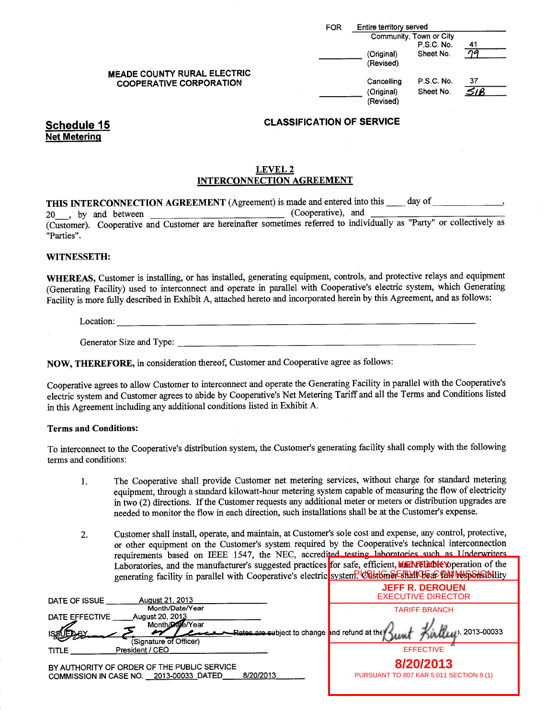|                                | <b>MEADE COUNTY RURAL ELECTRIC</b> |
|--------------------------------|------------------------------------|
| <b>COOPERATIVE CORPORATION</b> |                                    |

|                                | Entire territory served<br><b>FOR</b> |                         |     |  |
|--------------------------------|---------------------------------------|-------------------------|-----|--|
|                                |                                       | Community, Town or City |     |  |
|                                |                                       | P.S.C. No.              | 41  |  |
|                                | (Original)                            | Sheet No.               | na  |  |
|                                | (Revised)                             |                         |     |  |
| EADE COUNTY RURAL ELECTRIC     |                                       |                         |     |  |
| <b>COOPERATIVE CORPORATION</b> | Cancelling                            | P.S.C. No.              | 37  |  |
|                                | (Original)                            | Sheet No.               | 51B |  |
|                                | (Revised)                             |                         |     |  |
|                                |                                       |                         |     |  |

Net Metering

#### LEVEL 2 INTERCONNECTION AGREEMENT

THIS INTERCONNECTION AGREEMENT (Agreement) is made and entered into this  $\_\_\_\_$  day of  $\_\_\_\_$  (Cooperative), and 20 by and between Cooperative), and Customer). Cooperative and Customer are hereinafter sometimes referred to individually as " Party" or collectively as Parties".

#### WITNESSETH:

WHEREAS, Customer is installing, or has installed, generating equipment, controls, and protective relays and equipment (Generating Facility) used to interconnect and operate in parallel with Cooperative's electric system, which Generating Facility is more fully described in Exhibit A, attached hereto and incorporated herein by this Agreement, and as follows:

Location:

Generator Size and Type:

NOW, THEREFORE, in consideration thereof, Customer and Cooperative agree as follows:

Cooperative agrees to allow Customer to interconnect and operate the Generating Facility in parallel with the Cooperative's electric system and Customer agrees to abide by Cooperative's Net Metering Tariff and all the Terms and Conditions listed in this Agreement including any additional conditions listed in Exhibit A.

#### Terms and Conditions:

To interconnect to the Cooperative's distribution system, the Customer's generating facility shall comply with the following terms and conditions:

- 1. The Cooperative shall provide Customer net metering services, without charge for standard metering equipment, through a standard kilowatt-hour metering system capable of measuring the flow of electricity in two (2) directions. If the Customer requests any additional meter or meters or distribution upgrades are needed to monitor the flow in each direction, such installations shall be at the Customer's expense.
- 2. Customer shall install, operate, and maintain, at Customer's sole cost and expense, any control, protective, or other equipment on the Customer's system required by the Cooperative's technical interconnection requirements based on IEEE 1547, the NEC, accredited testing laboratories such as Underwriters Laboratories, and the manufacturer's suggested practices for safe, efficient, **KENTUOK** Noperation of the generating facility in parallel with Cooperative's electric system? UBstGn&ERMICE aC COMMAS SHOULITY

| August 21, 2013<br>DATE OF ISSUE                                                                    | <b>JEFF R. DEROUEN</b><br><b>EXECUTIVE DIRECTOR</b>  |
|-----------------------------------------------------------------------------------------------------|------------------------------------------------------|
| Month/Date/Year<br>August 20, 2013<br>DATE EFFECTIVE                                                | <b>TARIFF BRANCH</b>                                 |
| Month/Date/Year<br><b>Rates are subject to change and refund at the</b><br>(Signature of Officer)   | Willett 2013-00033                                   |
| President / CEO<br><b>TITLE</b>                                                                     | <b>EFFECTIVE</b>                                     |
| BY AUTHORITY OF ORDER OF THE PUBLIC SERVICE<br>8/20/2013<br>COMMISSION IN CASE NO. 2013-00033 DATED | 8/20/2013<br>PURSUANT TO 807 KAR 5:011 SECTION 9 (1) |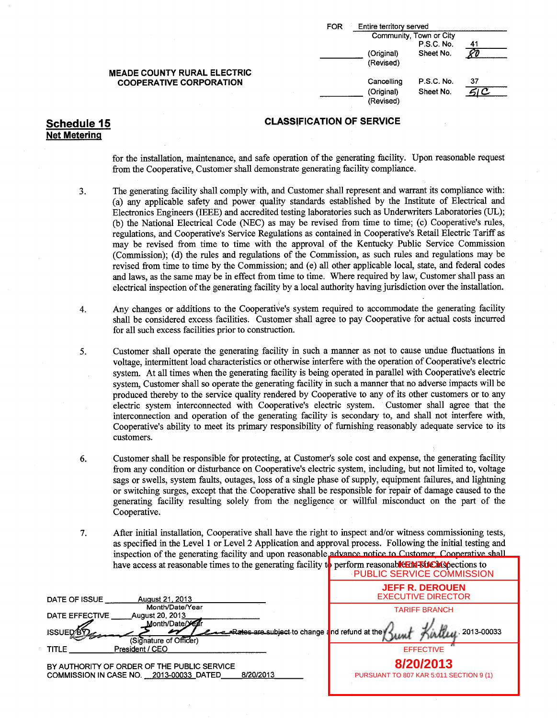| FOR | Entire territory served |                         |    |
|-----|-------------------------|-------------------------|----|
|     |                         | Community, Town or City |    |
|     |                         | P.S.C. No.              | 41 |
|     | (Original)              | Sheet No.               |    |
|     | (Revised)               |                         |    |
|     | Cancelling              | P.S.C. No.              | 37 |
|     | (Original)<br>(Revised) | Sheet No.               |    |

Net Metering

### Schedule 15 CLASSIFICATION OF SERVICE

for the installation, maintenance, and safe operation of the generating facility. Upon reasonable request from the Cooperative, Customer shall demonstrate generating facility compliance.

- 3. The generating facility shall comply with, and Customer shall represent and warrant its compliance with: a) any applicable safety and power quality standards established by the Institute of Electrical and Electronics Engineers( IEEE) and accredited testing laboratories such as Underwriters Laboratories( UL); (b) the National Electrical Code (NEC) as may be revised from time to time; (c) Cooperative's rules, regulations, and Cooperative's Service Regulations as contained in Cooperative's Retail Electric Tariff as may be revised from time to time with the approval of the Kentucky Public Service Commission (Commission); (d) the rules and regulations of the Commission, as such rules and regulations may be revised from time to time by the Commission; and (e) all other applicable local, state, and federal codes and laws, as the same may be in effect from time to time. Where required by law, Customer shall pass an electrical inspection of the generating facility by <sup>a</sup> local authority having jurisdiction over the installation.
- 4. Any changes or additions to the Cooperative's system required to accommodate the generating facility shall be considered excess facilities. Customer shall agree to pay Cooperative for actual costs incurred for all such excess facilities prior to construction.
- 5. Customer shall operate the generating facility in such a manner as not to cause undue fluctuations in voltage, intermittent load characteristics or otherwise interfere with the operation of Cooperative's electric system. At all times when the generating facility is being operated in parallel with Cooperative's electric system, Customer shall so operate the generating facility in such <sup>a</sup> manner that no adverse impacts will be produced thereby to the service quality rendered by Cooperative to any of its other customers or to any electric system interconnected with Cooperative'<sup>s</sup> electric system. Customer shall agree that the interconnection and operation of the generating facility is secondary to, and shall not interfere with, Cooperative's ability to meet its primary responsibility of furnishing reasonably adequate service to its customers.
- 6. Customer shall be responsible for protecting, at Customer's sole cost and expense, the generating facility from any condition or disturbance on Cooperative's electric system, including, but not limited to, voltage sags or swells, system faults, outages, loss of a single phase of supply, equipment failures, and lightning or switching surges, except that the Cooperative shall be responsible for repair of damage caused to the generating facility resulting solely from the negligence or willful misconduct on the part of the Cooperative.
- 7. After initial installation, Cooperative shall have the right to inspect and/or witness commissioning tests, as specified in the Level <sup>1</sup> or Level 2 Application and approval process. Following the initial testing and inspection of the generating, facility and upon reasonable advance notice to Customer, Cooperative shall have access at reasonable times to the generating facility t<mark>o</mark> perform reasonable EN BUCKS pections to

|                                                                                                       | <b>PUBLIC SERVICE COMMISSION</b>                     |
|-------------------------------------------------------------------------------------------------------|------------------------------------------------------|
| DATE OF ISSUE<br>August 21, 2013                                                                      | <b>JEFF R. DEROUEN</b><br><b>EXECUTIVE DIRECTOR</b>  |
| Month/Date/Year<br>DATE EFFECTIVE<br>August 20, 2013<br>Month/Date/Year                               | <b>TARIFF BRANCH</b>                                 |
| -Rates are subject to change and refund at the<br><b>ISSUED<sup>8</sup></b><br>(Signature of Officer) | W <sub>LU</sub> 2013-00033                           |
| President / CEO<br>TITLE                                                                              | <b>EFFECTIVE</b>                                     |
| BY AUTHORITY OF ORDER OF THE PUBLIC SERVICE<br>8/20/2013<br>COMMISSION IN CASE NO. 2013-00033 DATED   | 8/20/2013<br>PURSUANT TO 807 KAR 5:011 SECTION 9 (1) |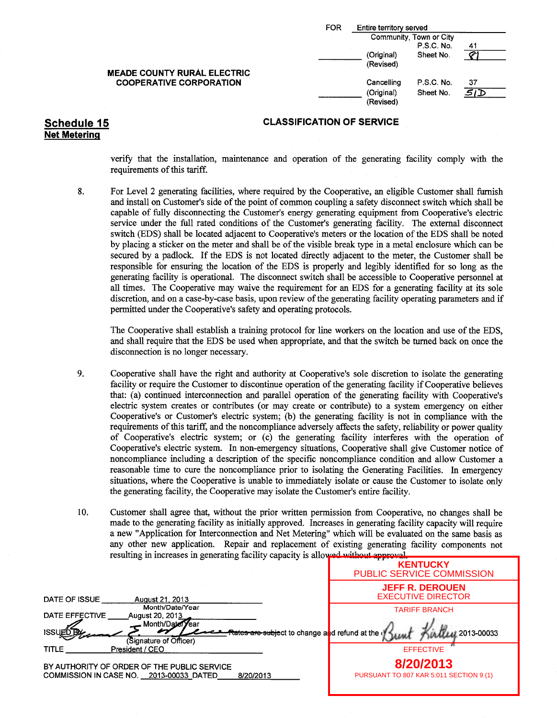| FOR | Entire territory served |                         |    |
|-----|-------------------------|-------------------------|----|
|     |                         | Community, Town or City |    |
|     |                         | P.S.C. No.              | 41 |
|     | (Original)              | Sheet No.               |    |
|     | (Revised)               |                         |    |
|     | Cancelling              | P.S.C. No.              | 37 |
|     | (Original)              | Sheet No.               |    |
|     | (Revised)               |                         |    |

verify that the installation, maintenance and operation of the generating facility comply with the requirements of this tariff.

8. For Level 2 generating facilities, where required by the Cooperative, an eligible Customer shall furnish and install on Customer's side ofthe point of common coupling <sup>a</sup> safety disconnect switch which shall be capable of fully disconnecting the Customer's energy generating equipment from Cooperative's electric service under the full rated conditions of the Customer'<sup>s</sup> generating facility. The external disconnect switch( EDS) shall be located adjacent to Cooperative's meters or the location of the EDS shall be noted by placing a sticker on the meter and shall be of the visible break type in <sup>a</sup> metal enclosure which can be secured by <sup>a</sup> padlock. If the EDS is not located directly adjacent to the meter, the Customer shall be responsible for ensuring the location of the EDS is properly and legibly identified for so long as the generating facility is operational. The disconnect switch shall be accessible to Cooperative personnel at all times. The Cooperative may waive the requirement for an EDS for a generating facility at its sole discretion, and on a case-by-case basis, upon review of the generating facility operating parameters and if permitted under the Cooperative's safety and operating protocols.

The Cooperative shall establish <sup>a</sup> training protocol for line workers on the location and use of the EDS, and shall require that the EDS be used when appropriate, and that the switch be turned back on once the disconnection is no longer necessary.

- 9. Cooperative shall have the right and authority at Cooperative's sole discretion to isolate the generating facility or require the Customer to discontinue operation of the generating facility if Cooperative believes that: (a) continued interconnection and parallel operation of the generating facility with Cooperative's electric system creates or contributes (or may create or contribute) to a system emergency on either Cooperative's or Customer's electric system; (b) the generating facility is not in compliance with the requirements of this tariff, and the noncompliance adversely affects the safety, reliability or power quality of Cooperative's electric system; or (c) the generating facility interferes with the operation of Cooperative's electric system. In non-emergency situations, Cooperative shall give Customer notice of noncompliance including a description of the specific noncompliance condition and allow Customer <sup>a</sup> reasonable time to cure the noncompliance prior to isolating the Generating Facilities. In emergency situations, where the Cooperative is unable to immediately isolate or cause the Customer to isolate only the generating facility, the Cooperative may isolate the Customer's entire facility.
- 10. Customer shall agree that, without the prior written permission from Cooperative, no changes shall be made to the generating facility as initially approved. Increases in generating facility capacity will require a new " Application for Interconnection and Net Metering" which will be evaluated on the same basis as any other new application. Repair and replacement of existing generating facility components not resulting in increases in generating facility capacity is allowed without approval.

|                                                                                                     | <b>KENTUCKY</b><br><b>PUBLIC SERVICE COMMISSION</b>  |
|-----------------------------------------------------------------------------------------------------|------------------------------------------------------|
| DATE OF ISSUE<br><b>August 21, 2013</b>                                                             | <b>JEFF R. DEROUEN</b><br><b>EXECUTIVE DIRECTOR</b>  |
| Month/Date/Year<br><b>DATE EFFECTIVE</b><br><b>August 20, 2013</b><br>Month/Date/Year               | <b>TARIFF BRANCH</b>                                 |
| <b>ISSUET</b><br>Rates are subject to change and refund at the d<br>(Signature of Officer)          | 2013-00033                                           |
| <b>TITLE</b><br>President / CEO                                                                     | <b>EFFECTIVE</b>                                     |
| BY AUTHORITY OF ORDER OF THE PUBLIC SERVICE<br>COMMISSION IN CASE NO. 2013-00033 DATED<br>8/20/2013 | 8/20/2013<br>PURSUANT TO 807 KAR 5:011 SECTION 9 (1) |

### Net Metering

MEADE COUNTY RURAL ELECTRIC **COOPERATIVE CORPORATION**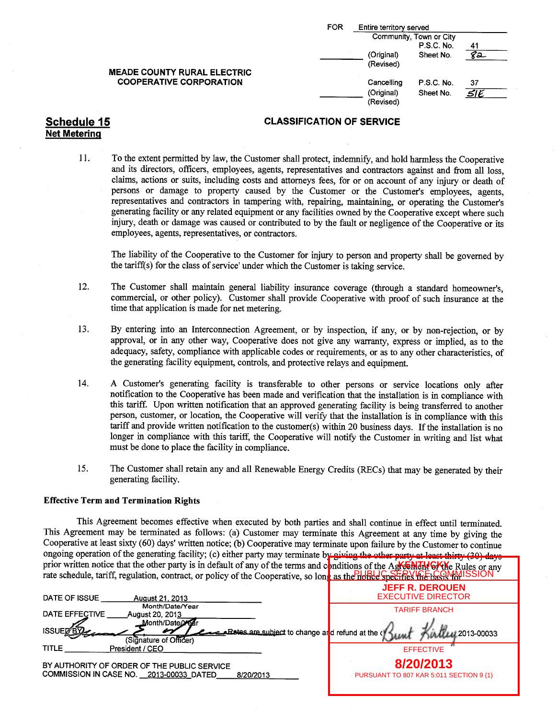|                                    | FOR<br>Entire territory served       |     |
|------------------------------------|--------------------------------------|-----|
|                                    | Community, Town or City              |     |
|                                    | P.S.C. No.                           | 41  |
|                                    | (Original)<br>Sheet No.              | 8a  |
|                                    | (Revised)                            |     |
| <b>MEADE COUNTY RURAL ELECTRIC</b> |                                      |     |
| <b>COOPERATIVE CORPORATION</b>     | Cancelling<br>P.S.C. No.             | 37  |
|                                    | (Original)<br>Sheet No.<br>(Revised) | SIE |

# Net Metering

#### Schedule 15 CLASSIFICATION OF SERVICE

11. To the extent permitted by law, the Customer shall protect, indemnify, and hold harmless the Cooperative and its directors, officers, employees, agents, representatives and contractors against and from all loss, claims, actions or suits, including costs and attorneys fees, for or on account of any injury or death of persons or damage to property caused by the Customer or the Customer's employees, agents, representatives and contractors in tampering with, repairing, maintaining, or operating the Customer's generating facility or any related equipment or any facilities owned by the Cooperative except where such injury, death or damage was caused or contributed to by the fault or negligence of the Cooperative or its employees, agents, representatives, or contractors.

The liability of the Cooperative to the Customer for injury to person and property shall be governed by the tariff(s) for the class of service' under which the Customer is taking service.

- 12. The Customer shall maintain general liability insurance coverage ( through a standard homeowner's, commercial, or other policy). Customer shall provide Cooperative with proof of such insurance at the time that application is made for net metering.
- 13. By entering into an Interconnection Agreement, or by inspection, if any, or by non-rejection, or by approval, or in any other way, Cooperative does not give any warranty, express or implied, as to the adequacy, safety, compliance with applicable codes or requirements, or as to any other characteristics, of the generating facility equipment, controls, and protective relays and equipment.
- 14. A Customer's generating facility is transferable to other persons or service locations only after notification to the Cooperative has been made and verification that the installation is in compliance with this tariff. Upon written notification that an approved generating facility is being transferred to another person, customer, or location, the Cooperative will verify that the installation is in compliance with this tariff and provide written notification to the customer(s) within 20 business days. If the installation is no longer in compliance with this tariff, the Cooperative will notify the Customer in writing and list what must be done to place the facility in compliance.
- 15. The Customer shall retain any and all Renewable Energy Credits( RECs) that may be generated by their generating facility.

#### Effective Term and Termination Rights

This Agreement becomes effective when executed by both parties and shall continue in effect until terminated. This Agreement may be terminated as follows: (a) Customer may terminate this Agreement at any time by giving the Cooperative at least sixty (60) days' written notice; (b) Cooperative may terminate upon failure by the Customer to continue ongoing operation of the generating facility; (c) either party may terminate by giving the other party at least thirty (30) days prior written notice that the other party is in default of any of the terms and conditions of the Agreement Orthography rate schedule, tariff, regulation, contract, or policy of the Cooperative, so long as the Helalde Specifies the base that ISSION

| DATE OF ISSUE<br><b>August 21, 2013</b>                                                                                                                                             | <b>JEFF R. DEROUEN</b><br><b>EXECUTIVE DIRECTOR</b>  |  |
|-------------------------------------------------------------------------------------------------------------------------------------------------------------------------------------|------------------------------------------------------|--|
| Month/Date/Year<br>DATE EFFECTIVE<br>August 20, 2013<br>Month/Date/Xear<br><b>ISSUED<sup>®</sup>P</b><br>Lates are subject to change arid refund at the o<br>(Signature of Officer) | <b>TARIFF BRANCH</b><br><b>MALLAL 2013-00033</b>     |  |
| <b>TITLE</b><br>President / CEO                                                                                                                                                     | <b>EFFECTIVE</b>                                     |  |
| BY AUTHORITY OF ORDER OF THE PUBLIC SERVICE<br>COMMISSION IN CASE NO. 2013-00033 DATED<br>8/20/2013                                                                                 | 8/20/2013<br>PURSUANT TO 807 KAR 5:011 SECTION 9 (1) |  |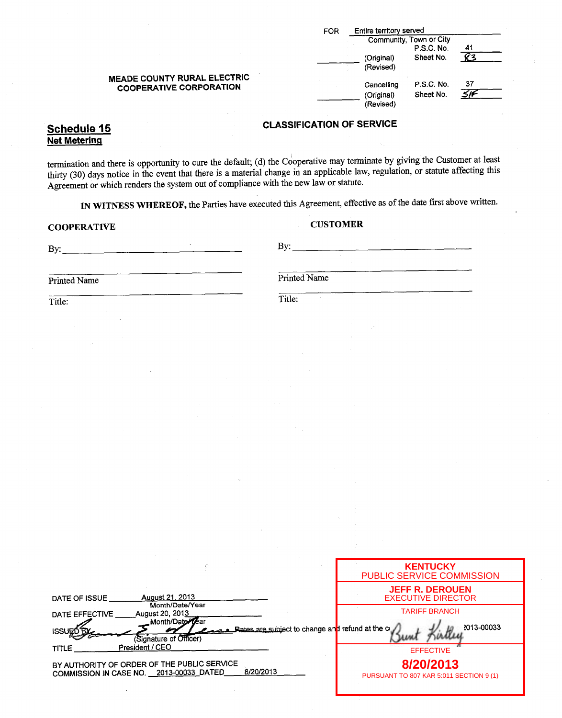|                                                               | Entire territory served<br><b>FOR</b>                                         |  |
|---------------------------------------------------------------|-------------------------------------------------------------------------------|--|
|                                                               | Community, Town or City<br>P.S.C. No.<br>41                                   |  |
|                                                               | Sheet No.<br>(Original)<br>(Revised)                                          |  |
| MEADE COUNTY RURAL ELECTRIC<br><b>COOPERATIVE CORPORATION</b> | 37<br><b>P.S.C. No.</b><br>Cancelling<br>Sheet No.<br>(Original)<br>(Revised) |  |

## Net Metering

termination and there is opportunity to cure the default; (d) the Cooperative may terminate by giving the Customer at least the event that there is a material change in an applicable law, regulation, or statute affecting this thirty (30) days notice in the event that there is a material change in an applicable law, regulation, or statute affect Agreement or which renders the system out of compliance with the new law or statute.

IN WITNESS WHEREOF, the Parties have executed this Agreement, effective as of the date first above written.

### COOPERATIVE CUSTOMER

| $\cdot$<br>By:      | By:           |
|---------------------|---------------|
| Printed Name        | Printed Name  |
| Title:              | Title:        |
| $\mathcal{L}^{(1)}$ |               |
| $\sim$              | 15.<br>$\sim$ |

|                                                                                                                             | <b>KENTUCKY</b><br><b>PUBLIC SERVICE COMMISSION</b>  |
|-----------------------------------------------------------------------------------------------------------------------------|------------------------------------------------------|
| August 21, 2013<br>DATE OF ISSUE<br>Month/Date/Year                                                                         | <b>JEFF R. DEROUEN</b><br><b>EXECUTIVE DIRECTOR</b>  |
| August 20, 2013<br>DATE EFFECTIVE<br>Month/Date Lear<br>Rates are subject to change and refund at the c<br><b>ISSUED BY</b> | <b>TARIFF BRANCH</b><br>2013-00033                   |
| (Signature of Officer)                                                                                                      |                                                      |
| President / CEO<br><b>TITLE</b>                                                                                             | <b>EFFECTIVE</b>                                     |
| BY AUTHORITY OF ORDER OF THE PUBLIC SERVICE<br>8/20/2013<br>COMMISSION IN CASE NO. 2013-00033_DATED                         | 8/20/2013<br>PURSUANT TO 807 KAR 5:011 SECTION 9 (1) |